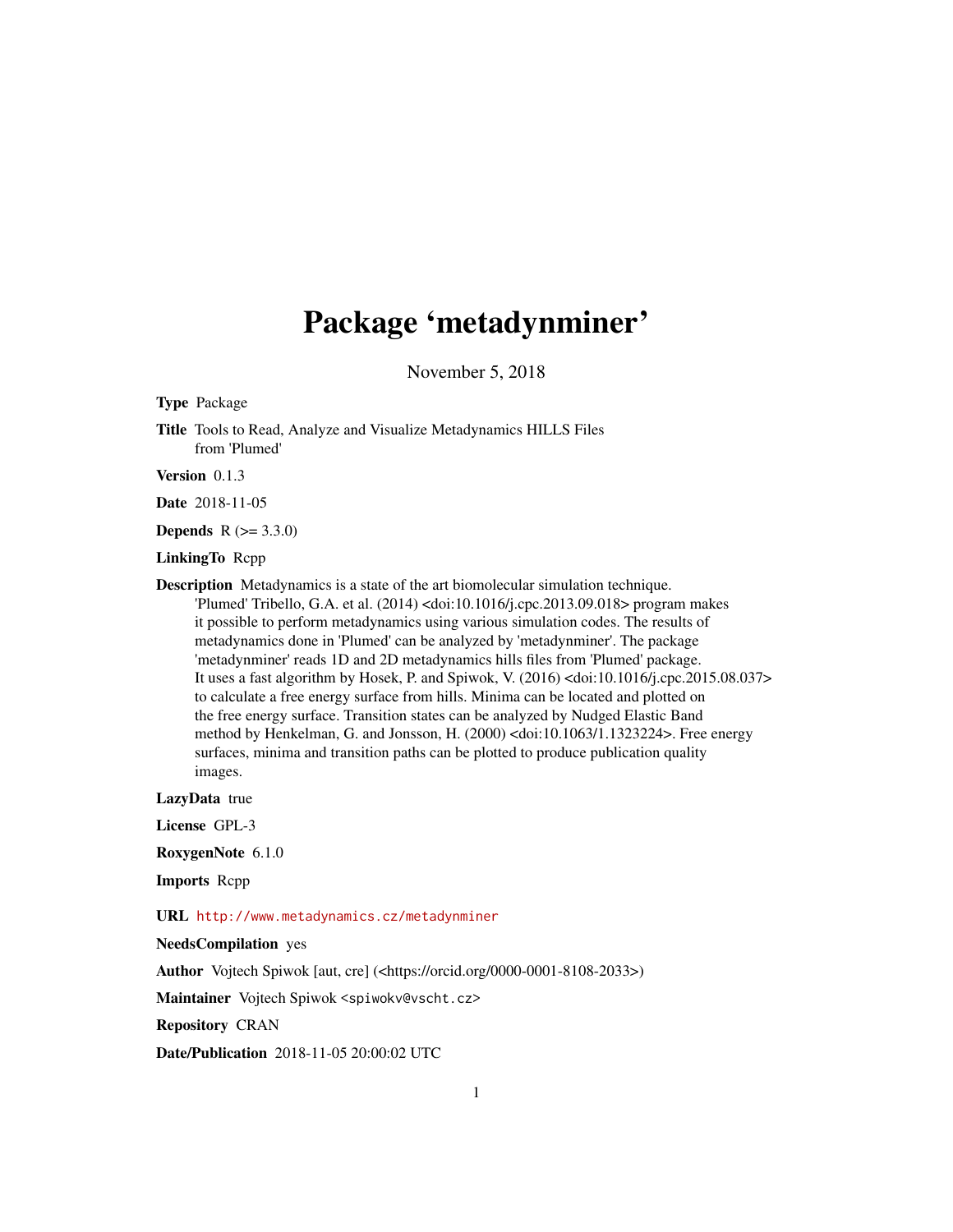# Package 'metadynminer'

November 5, 2018

Type Package

Title Tools to Read, Analyze and Visualize Metadynamics HILLS Files from 'Plumed'

Version 0.1.3

Date 2018-11-05

**Depends**  $R (= 3.3.0)$ 

LinkingTo Rcpp

Description Metadynamics is a state of the art biomolecular simulation technique. 'Plumed' Tribello, G.A. et al. (2014) <doi:10.1016/j.cpc.2013.09.018> program makes it possible to perform metadynamics using various simulation codes. The results of metadynamics done in 'Plumed' can be analyzed by 'metadynminer'. The package 'metadynminer' reads 1D and 2D metadynamics hills files from 'Plumed' package. It uses a fast algorithm by Hosek, P. and Spiwok, V. (2016) <doi:10.1016/j.cpc.2015.08.037> to calculate a free energy surface from hills. Minima can be located and plotted on the free energy surface. Transition states can be analyzed by Nudged Elastic Band method by Henkelman, G. and Jonsson, H. (2000) <doi:10.1063/1.1323224>. Free energy surfaces, minima and transition paths can be plotted to produce publication quality images.

LazyData true

License GPL-3

RoxygenNote 6.1.0

Imports Rcpp

URL <http://www.metadynamics.cz/metadynminer>

NeedsCompilation yes

Author Vojtech Spiwok [aut, cre] (<https://orcid.org/0000-0001-8108-2033>)

Maintainer Vojtech Spiwok <spiwokv@vscht.cz>

Repository CRAN

Date/Publication 2018-11-05 20:00:02 UTC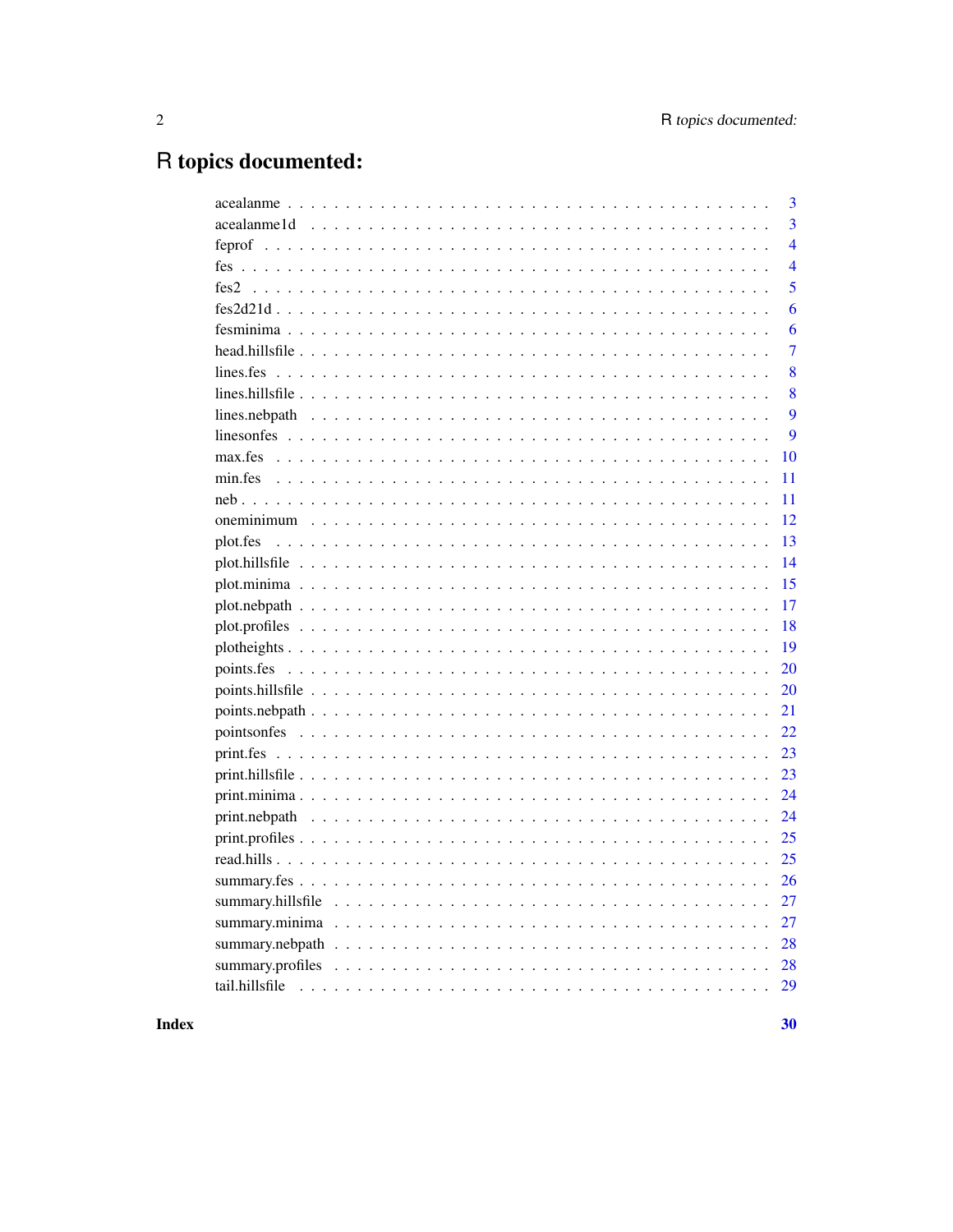# R topics documented:

|            | $\overline{\mathbf{3}}$ |
|------------|-------------------------|
|            | $\overline{3}$          |
|            | $\overline{4}$          |
|            | 4                       |
|            | 5                       |
| $fes2d21d$ | 6                       |
|            | 6                       |
|            | $\overline{7}$          |
|            | 8                       |
|            | 8                       |
|            | 9                       |
|            | 9                       |
|            | 10                      |
|            | 11                      |
|            | 11                      |
|            | 12                      |
|            | 13                      |
|            | 14                      |
|            | 15                      |
|            | 17                      |
|            | 18                      |
|            | 19                      |
|            | 20                      |
|            | 20                      |
|            | 21                      |
|            | 22                      |
|            | 23                      |
|            | 23                      |
|            | 24                      |
|            | 24                      |
|            | 25                      |
|            | 25                      |
|            | 26                      |
|            | 27                      |
|            | 27                      |
|            | 28                      |
|            | 28                      |
|            | 29                      |
|            |                         |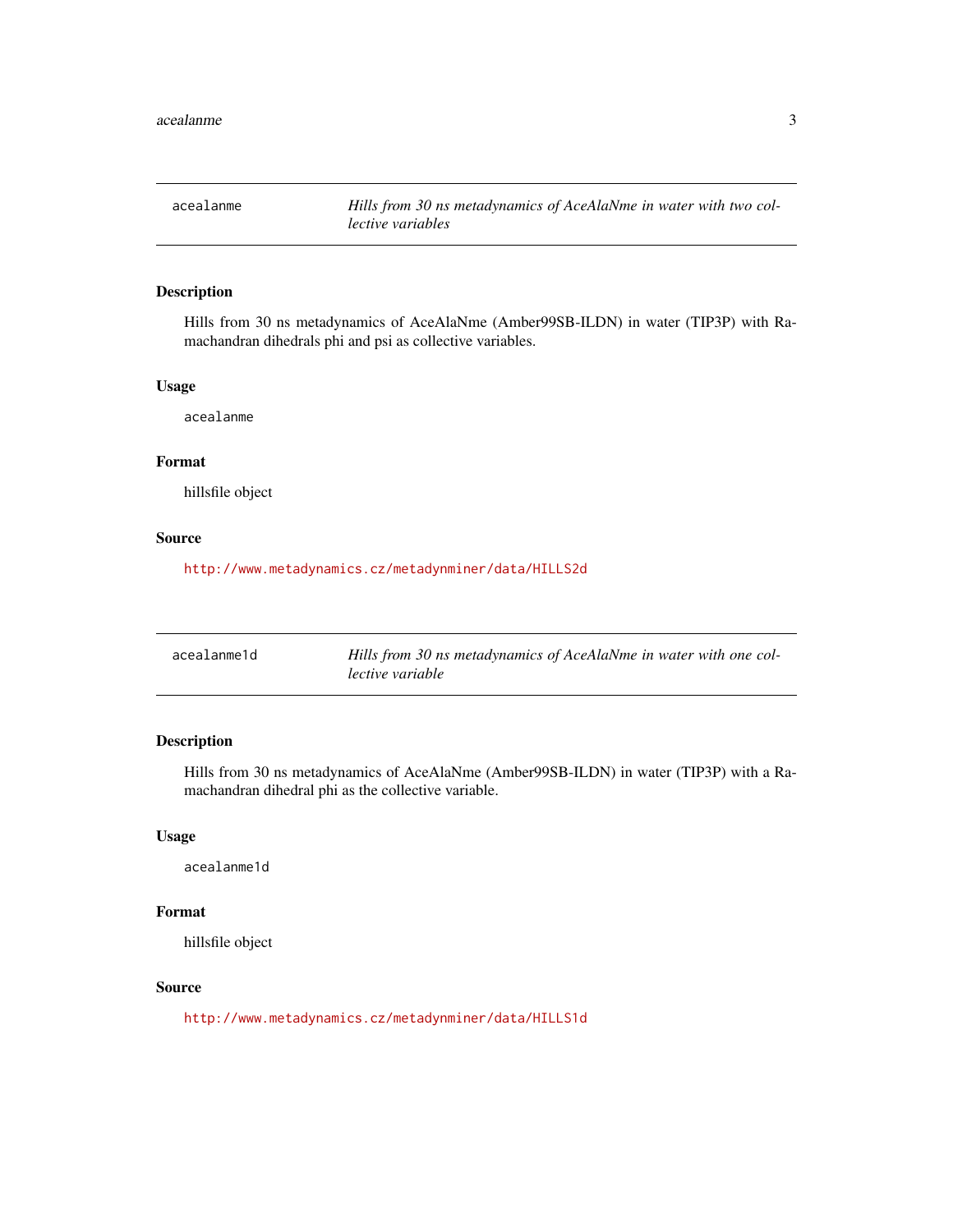<span id="page-2-0"></span>

Hills from 30 ns metadynamics of AceAlaNme (Amber99SB-ILDN) in water (TIP3P) with Ramachandran dihedrals phi and psi as collective variables.

#### Usage

acealanme

#### Format

hillsfile object

#### Source

<http://www.metadynamics.cz/metadynminer/data/HILLS2d>

| acealanme1d | Hills from 30 ns metadynamics of AceAlaNme in water with one col- |
|-------------|-------------------------------------------------------------------|
|             | lective variable                                                  |

#### Description

Hills from 30 ns metadynamics of AceAlaNme (Amber99SB-ILDN) in water (TIP3P) with a Ramachandran dihedral phi as the collective variable.

#### Usage

acealanme1d

#### Format

hillsfile object

#### Source

<http://www.metadynamics.cz/metadynminer/data/HILLS1d>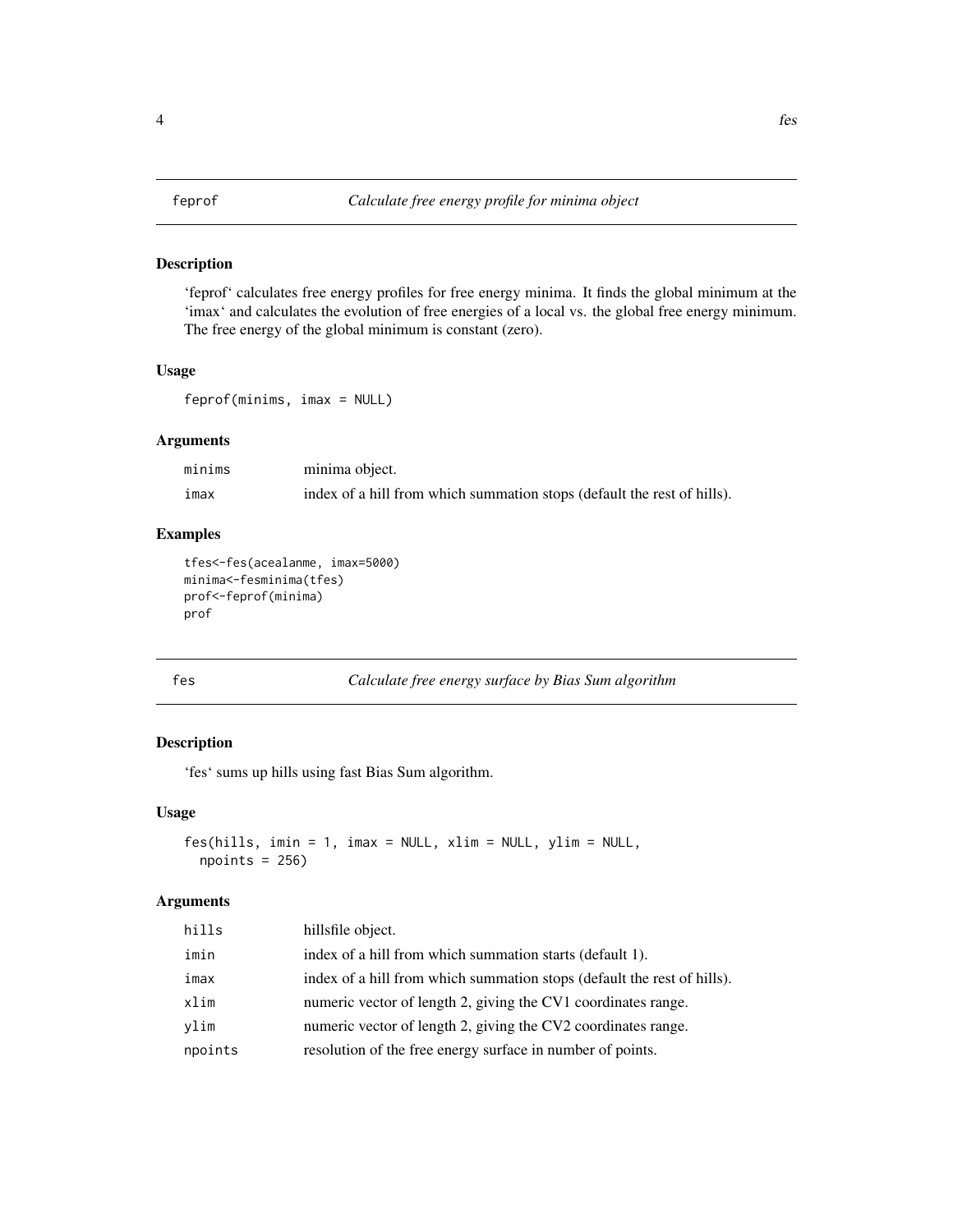<span id="page-3-0"></span>'feprof' calculates free energy profiles for free energy minima. It finds the global minimum at the 'imax' and calculates the evolution of free energies of a local vs. the global free energy minimum. The free energy of the global minimum is constant (zero).

#### Usage

feprof(minims, imax = NULL)

#### Arguments

| minims | minima object.                                                          |
|--------|-------------------------------------------------------------------------|
| imax   | index of a hill from which summation stops (default the rest of hills). |

#### Examples

```
tfes<-fes(acealanme, imax=5000)
minima<-fesminima(tfes)
prof<-feprof(minima)
prof
```
#### fes *Calculate free energy surface by Bias Sum algorithm*

#### Description

'fes' sums up hills using fast Bias Sum algorithm.

#### Usage

```
fes(hills, imin = 1, imax = NULL, xlim = NULL, ylim = NULL,
 npoints = 256
```

| hills   | hillsfile object.                                                       |
|---------|-------------------------------------------------------------------------|
| imin    | index of a hill from which summation starts (default 1).                |
| imax    | index of a hill from which summation stops (default the rest of hills). |
| xlim    | numeric vector of length 2, giving the CV1 coordinates range.           |
| vlim    | numeric vector of length 2, giving the CV2 coordinates range.           |
| npoints | resolution of the free energy surface in number of points.              |
|         |                                                                         |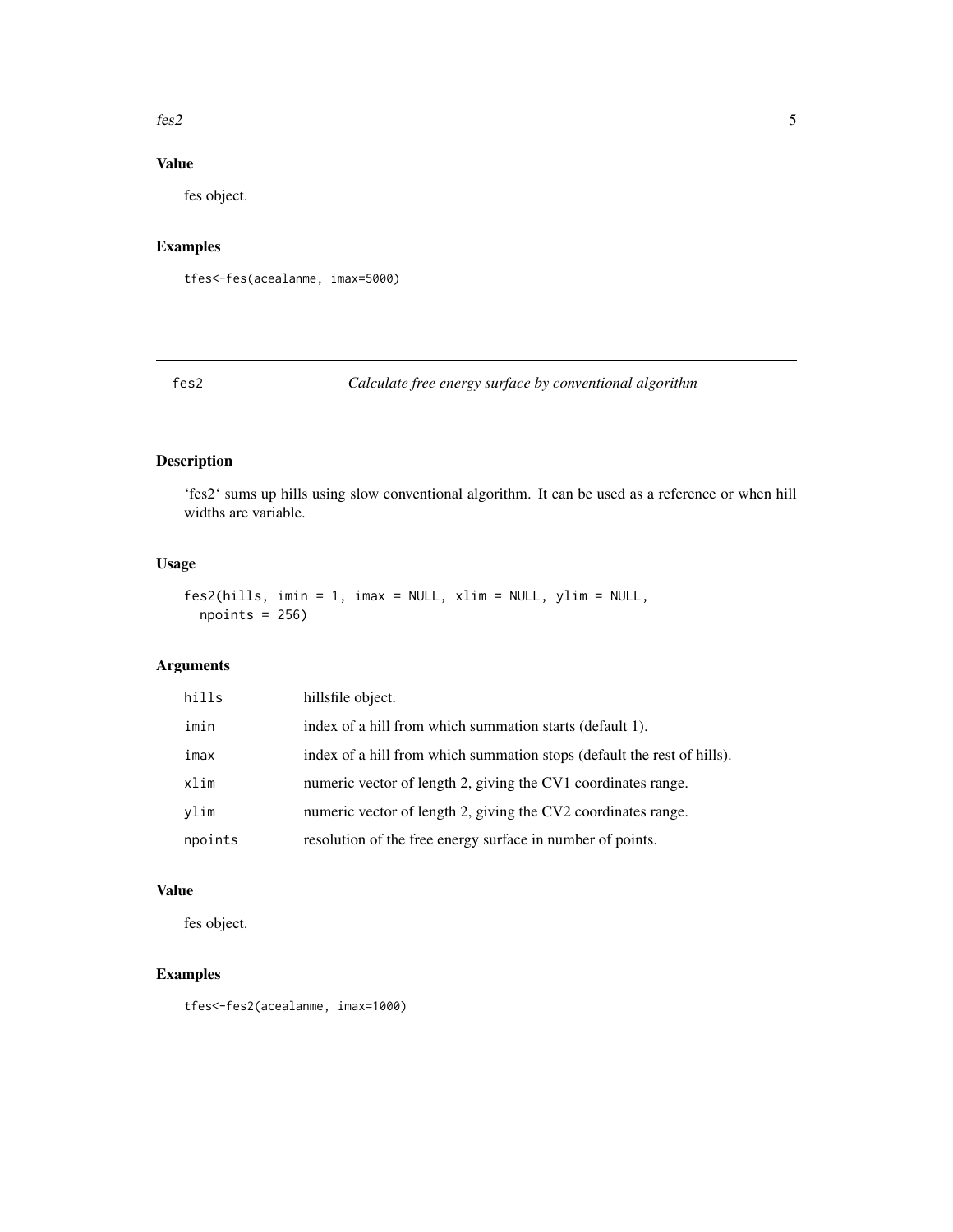#### <span id="page-4-0"></span>fes2 5

#### Value

fes object.

#### Examples

tfes<-fes(acealanme, imax=5000)

fes2 *Calculate free energy surface by conventional algorithm*

#### Description

'fes2' sums up hills using slow conventional algorithm. It can be used as a reference or when hill widths are variable.

#### Usage

```
fes2(hills, imin = 1, imax = NULL, xlim = NULL, ylim = NULL,
  npoints = 256
```
#### Arguments

| hills   | hillsfile object.                                                       |
|---------|-------------------------------------------------------------------------|
| imin    | index of a hill from which summation starts (default 1).                |
| imax    | index of a hill from which summation stops (default the rest of hills). |
| xlim    | numeric vector of length 2, giving the CV1 coordinates range.           |
| vlim    | numeric vector of length 2, giving the CV2 coordinates range.           |
| npoints | resolution of the free energy surface in number of points.              |

#### Value

fes object.

#### Examples

tfes<-fes2(acealanme, imax=1000)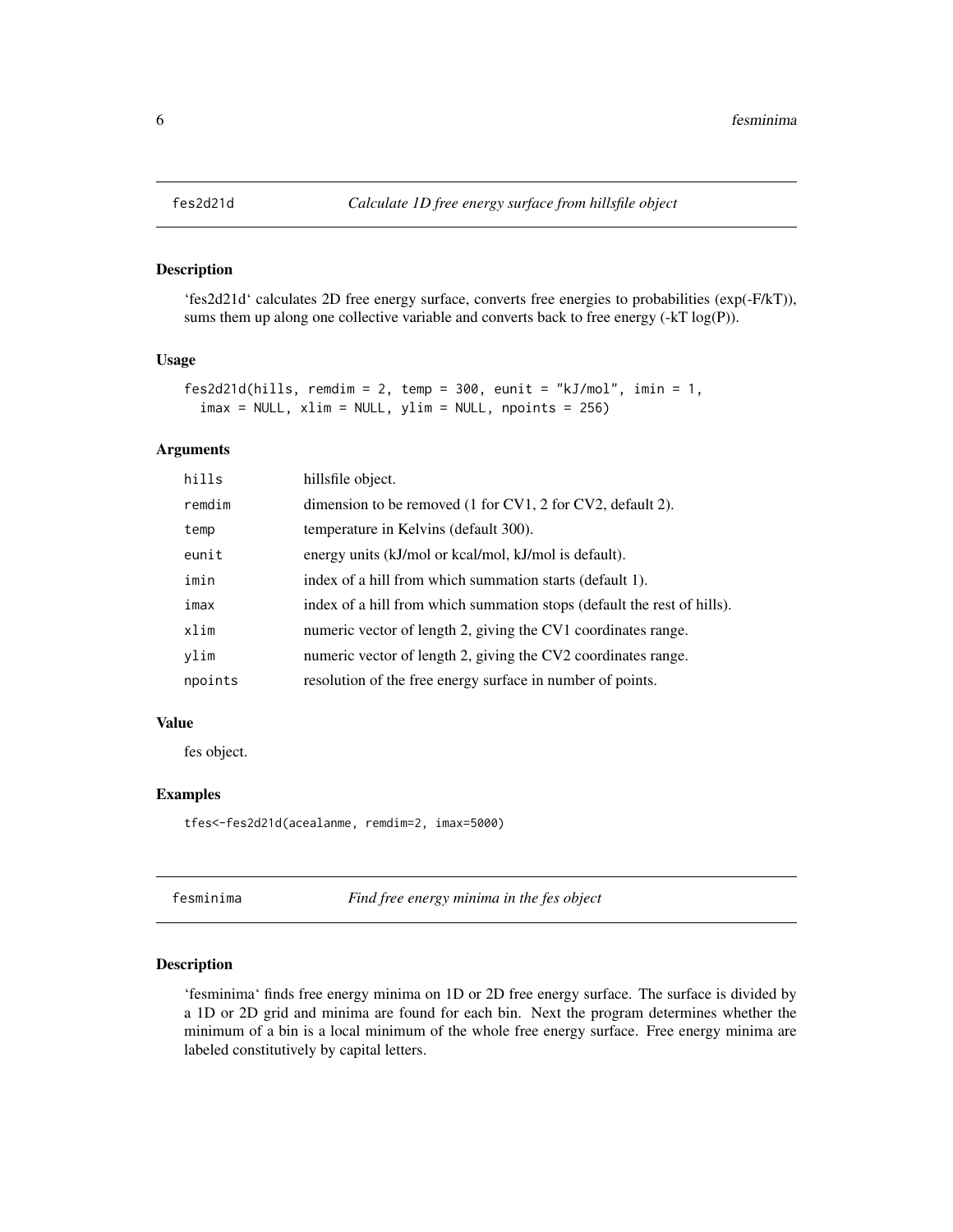<span id="page-5-0"></span>

'fes2d21d' calculates 2D free energy surface, converts free energies to probabilities (exp(-F/kT)), sums them up along one collective variable and converts back to free energy (-kT log(P)).

#### Usage

```
fes2d21d(hills, remdim = 2, temp = 300, eunit = "kJ/mol", imin = 1,
  imax = NULL, xlim = NULL, ylim = NULL, npoints = 256)
```
#### Arguments

| hills   | hillsfile object.                                                       |
|---------|-------------------------------------------------------------------------|
| remdim  | dimension to be removed $(1$ for CV1, 2 for CV2, default 2).            |
| temp    | temperature in Kelvins (default 300).                                   |
| eunit   | energy units (kJ/mol or kcal/mol, kJ/mol is default).                   |
| imin    | index of a hill from which summation starts (default 1).                |
| imax    | index of a hill from which summation stops (default the rest of hills). |
| xlim    | numeric vector of length 2, giving the CV1 coordinates range.           |
| ylim    | numeric vector of length 2, giving the CV2 coordinates range.           |
| npoints | resolution of the free energy surface in number of points.              |

#### Value

fes object.

#### Examples

tfes<-fes2d21d(acealanme, remdim=2, imax=5000)

fesminima *Find free energy minima in the fes object*

#### Description

'fesminima' finds free energy minima on 1D or 2D free energy surface. The surface is divided by a 1D or 2D grid and minima are found for each bin. Next the program determines whether the minimum of a bin is a local minimum of the whole free energy surface. Free energy minima are labeled constitutively by capital letters.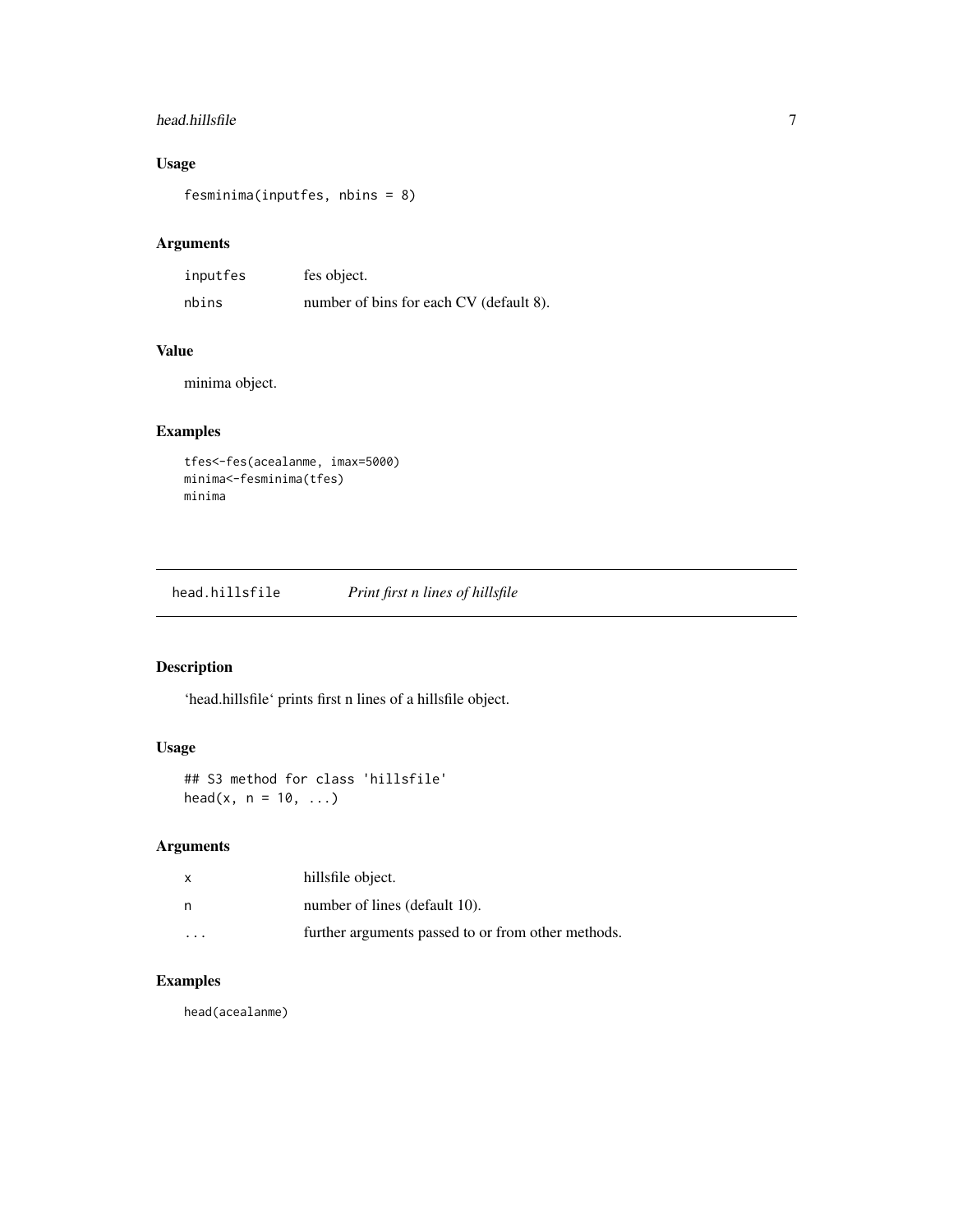#### <span id="page-6-0"></span>head.hillsfile 7 7

#### Usage

fesminima(inputfes, nbins = 8)

#### Arguments

| inputfes | fes object.                             |
|----------|-----------------------------------------|
| nbins    | number of bins for each CV (default 8). |

#### Value

minima object.

#### Examples

```
tfes<-fes(acealanme, imax=5000)
minima<-fesminima(tfes)
minima
```
head.hillsfile *Print first n lines of hillsfile*

#### Description

'head.hillsfile' prints first n lines of a hillsfile object.

#### Usage

```
## S3 method for class 'hillsfile'
head(x, n = 10, ...)
```
#### Arguments

|                         | hillsfile object.                                  |
|-------------------------|----------------------------------------------------|
| n                       | number of lines (default 10).                      |
| $\cdot$ $\cdot$ $\cdot$ | further arguments passed to or from other methods. |

#### Examples

head(acealanme)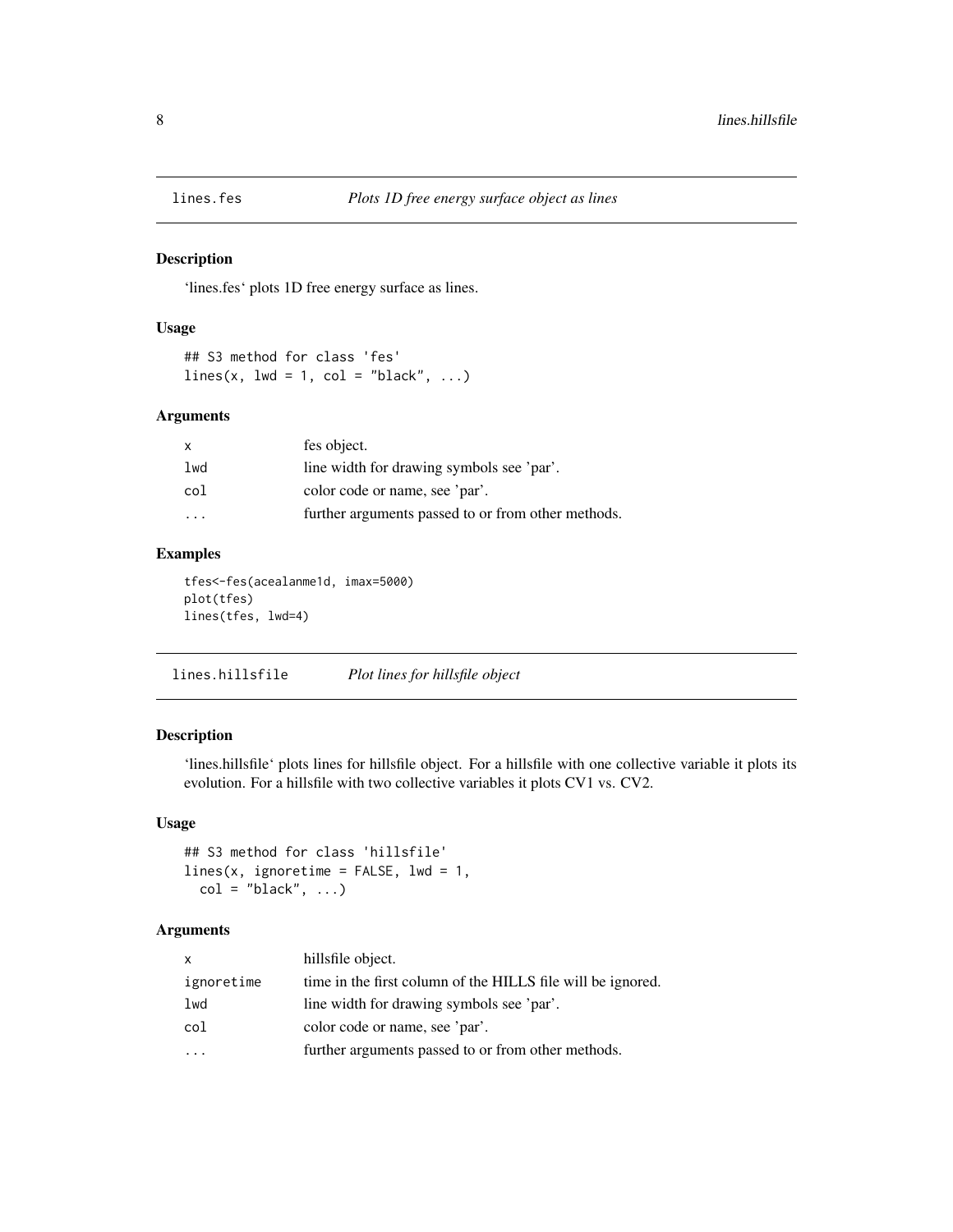<span id="page-7-0"></span>

'lines.fes' plots 1D free energy surface as lines.

#### Usage

```
## S3 method for class 'fes'
lines(x, lwd = 1, col = "black", ...)
```
#### Arguments

| x                       | fes object.                                        |
|-------------------------|----------------------------------------------------|
| lwd                     | line width for drawing symbols see 'par'.          |
| col                     | color code or name, see 'par'.                     |
| $\cdot$ $\cdot$ $\cdot$ | further arguments passed to or from other methods. |

#### Examples

```
tfes<-fes(acealanme1d, imax=5000)
plot(tfes)
lines(tfes, lwd=4)
```
lines.hillsfile *Plot lines for hillsfile object*

#### Description

'lines.hillsfile' plots lines for hillsfile object. For a hillsfile with one collective variable it plots its evolution. For a hillsfile with two collective variables it plots CV1 vs. CV2.

#### Usage

```
## S3 method for class 'hillsfile'
lines(x, ignore time = FALSE, lwd = 1,col = "black", ...)
```

| X          | hillsfile object.                                           |
|------------|-------------------------------------------------------------|
| ignoretime | time in the first column of the HILLS file will be ignored. |
| lwd        | line width for drawing symbols see 'par'.                   |
| col        | color code or name, see 'par'.                              |
|            | further arguments passed to or from other methods.          |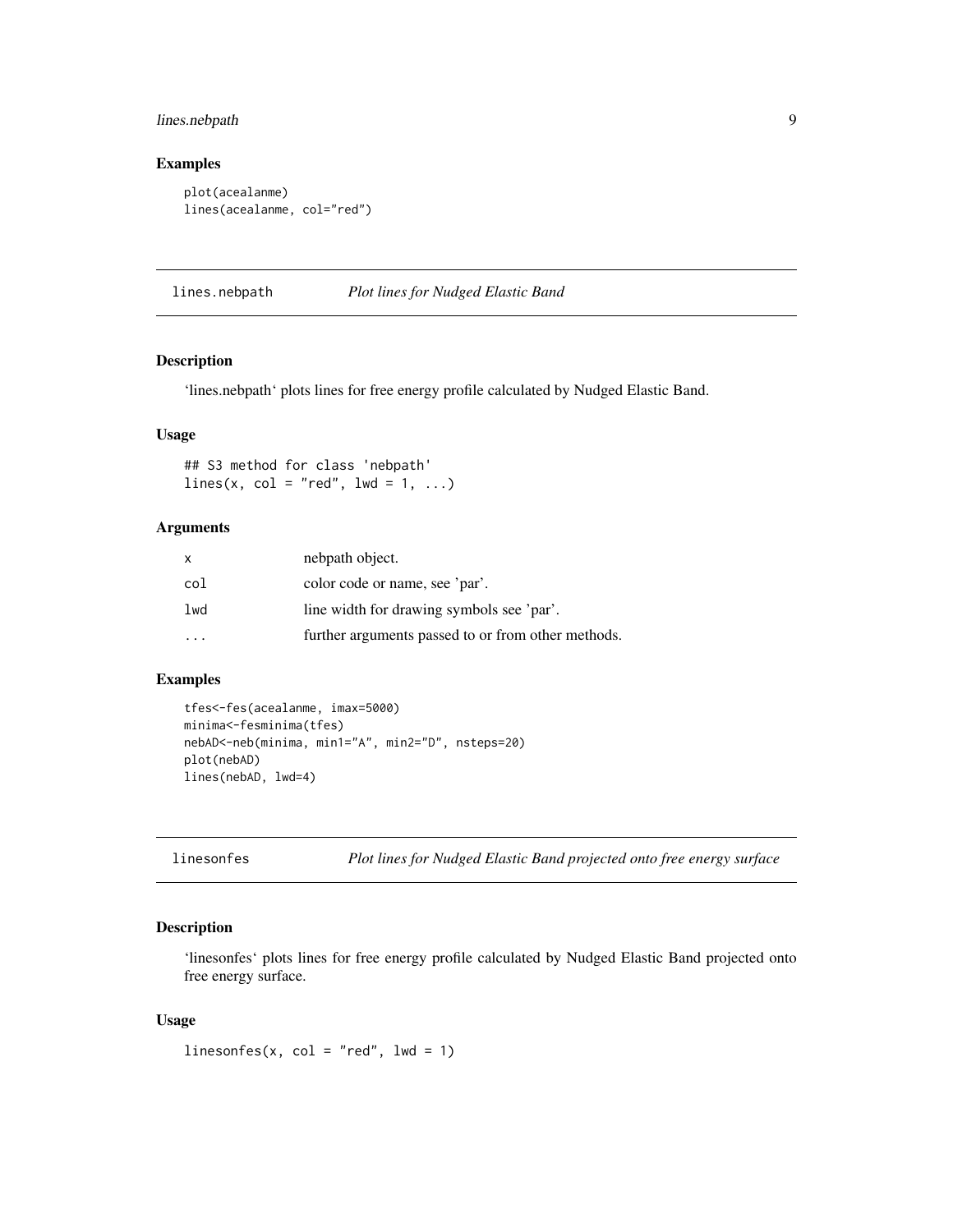#### <span id="page-8-0"></span>lines.nebpath 9

#### Examples

```
plot(acealanme)
lines(acealanme, col="red")
```
lines.nebpath *Plot lines for Nudged Elastic Band*

#### Description

'lines.nebpath' plots lines for free energy profile calculated by Nudged Elastic Band.

#### Usage

## S3 method for class 'nebpath'  $lines(x, col = "red", lwd = 1, ...)$ 

#### Arguments

| X   | nebpath object.                                    |
|-----|----------------------------------------------------|
| col | color code or name, see 'par'.                     |
| lwd | line width for drawing symbols see 'par'.          |
|     | further arguments passed to or from other methods. |

#### Examples

```
tfes<-fes(acealanme, imax=5000)
minima<-fesminima(tfes)
nebAD<-neb(minima, min1="A", min2="D", nsteps=20)
plot(nebAD)
lines(nebAD, lwd=4)
```
linesonfes *Plot lines for Nudged Elastic Band projected onto free energy surface*

#### Description

'linesonfes' plots lines for free energy profile calculated by Nudged Elastic Band projected onto free energy surface.

#### Usage

linesonfes(x, col = "red",  $1wd = 1$ )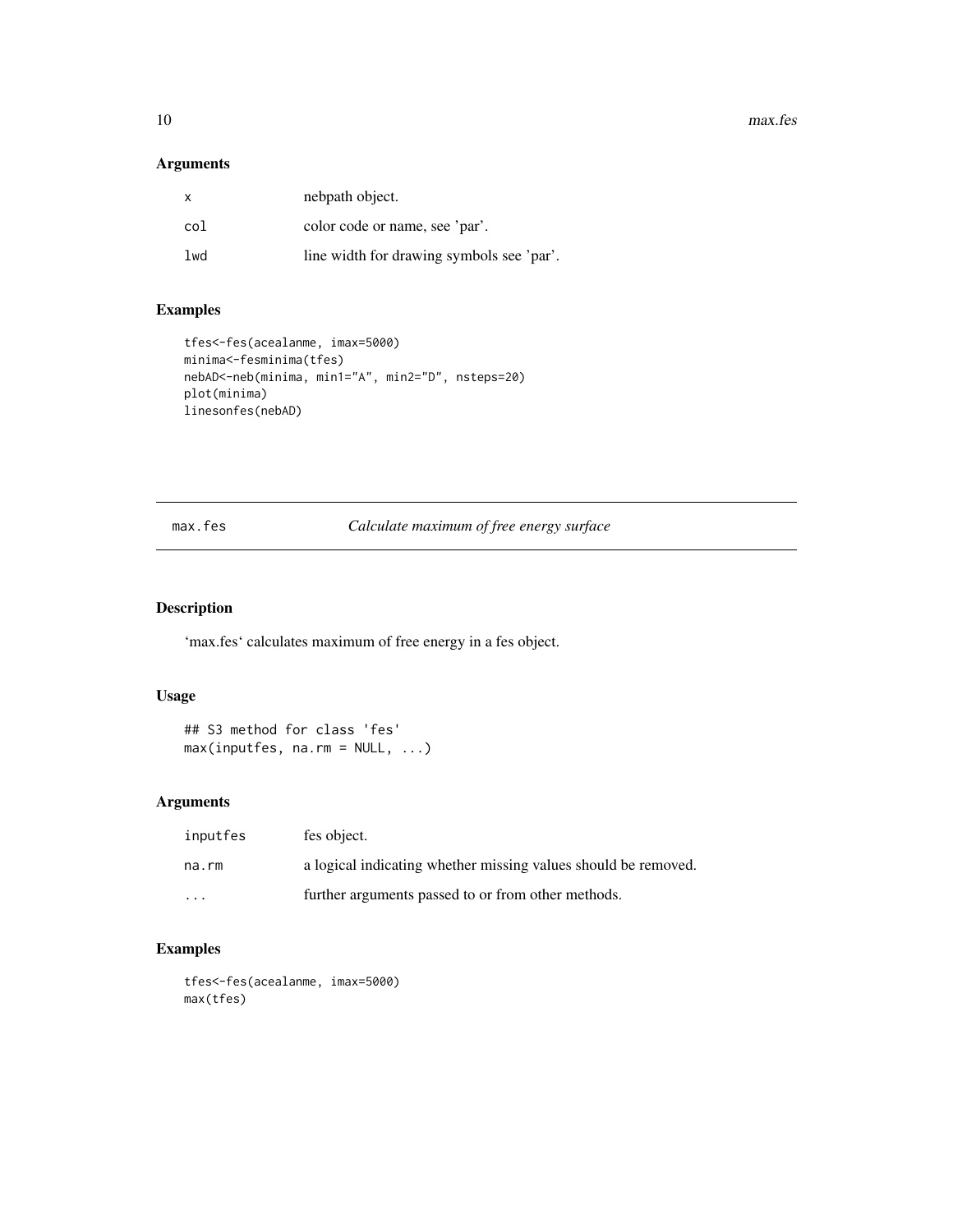<span id="page-9-0"></span>10 max.fes

#### Arguments

| $\mathsf{x}$ | nebpath object.                           |
|--------------|-------------------------------------------|
| col          | color code or name, see 'par'.            |
| 1wd          | line width for drawing symbols see 'par'. |

#### Examples

```
tfes<-fes(acealanme, imax=5000)
minima<-fesminima(tfes)
nebAD<-neb(minima, min1="A", min2="D", nsteps=20)
plot(minima)
linesonfes(nebAD)
```
#### max.fes *Calculate maximum of free energy surface*

#### Description

'max.fes' calculates maximum of free energy in a fes object.

#### Usage

```
## S3 method for class 'fes'
max(inputfes, na.rm = NULL, ...)
```
#### Arguments

| inputfes | fes object.                                                    |
|----------|----------------------------------------------------------------|
| na.rm    | a logical indicating whether missing values should be removed. |
| .        | further arguments passed to or from other methods.             |

```
tfes<-fes(acealanme, imax=5000)
max(tfes)
```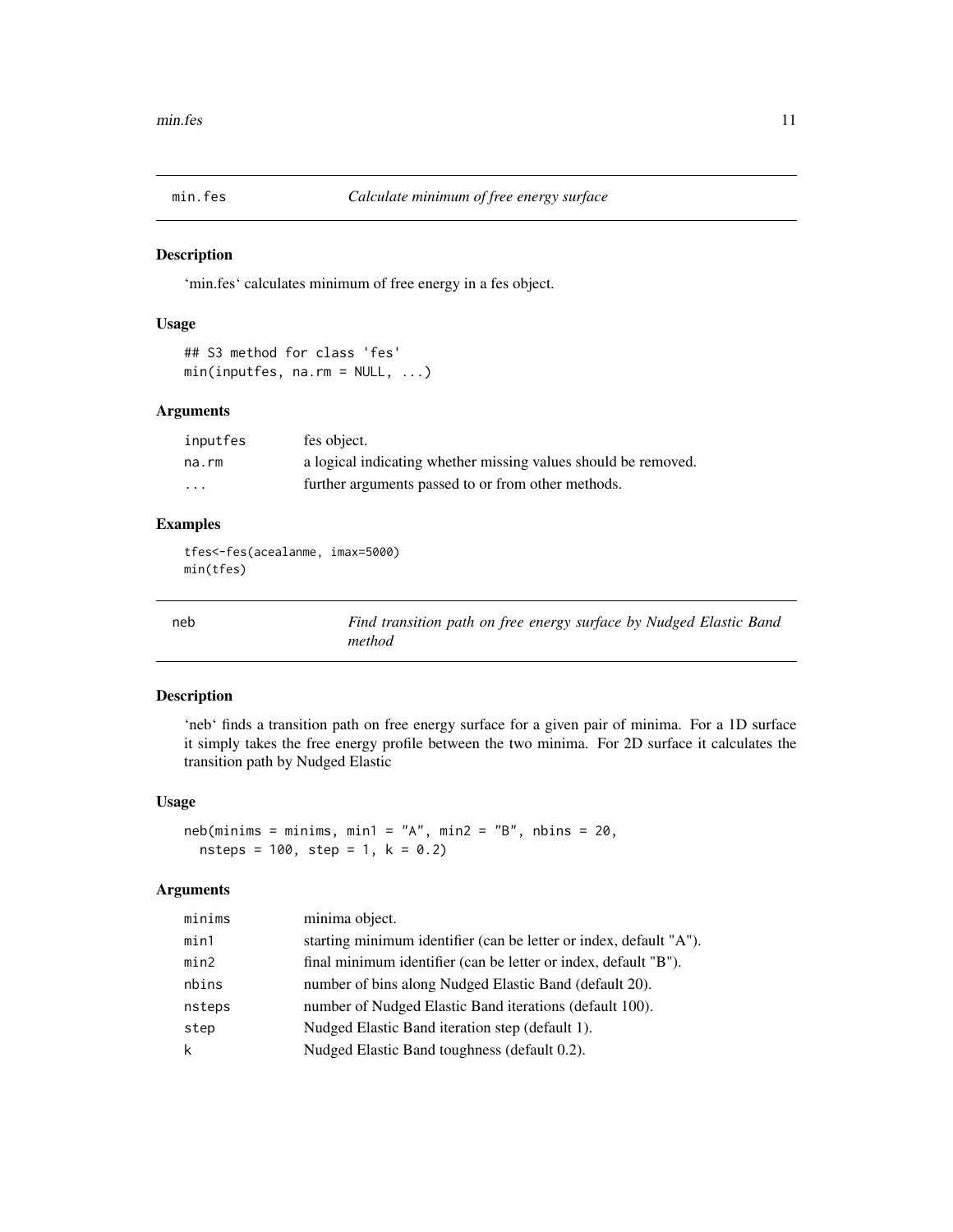<span id="page-10-0"></span>

'min.fes' calculates minimum of free energy in a fes object.

#### Usage

```
## S3 method for class 'fes'
min(inputfes, na.rm = NULL, ...)
```
#### Arguments

| inputfes | fes object.                                                    |
|----------|----------------------------------------------------------------|
| na.rm    | a logical indicating whether missing values should be removed. |
| .        | further arguments passed to or from other methods.             |

#### Examples

tfes<-fes(acealanme, imax=5000) min(tfes)

|  | -  |  |
|--|----|--|
|  | ۰. |  |

neb *Find transition path on free energy surface by Nudged Elastic Band method*

#### Description

'neb' finds a transition path on free energy surface for a given pair of minima. For a 1D surface it simply takes the free energy profile between the two minima. For 2D surface it calculates the transition path by Nudged Elastic

#### Usage

```
neb(minims = minims, min1 = "A", min2 = "B", nbins = 20,nsteps = 100, step = 1, k = 0.2)
```

| minima object.                                                     |
|--------------------------------------------------------------------|
| starting minimum identifier (can be letter or index, default "A"). |
| final minimum identifier (can be letter or index, default "B").    |
| number of bins along Nudged Elastic Band (default 20).             |
| number of Nudged Elastic Band iterations (default 100).            |
| Nudged Elastic Band iteration step (default 1).                    |
| Nudged Elastic Band toughness (default 0.2).                       |
|                                                                    |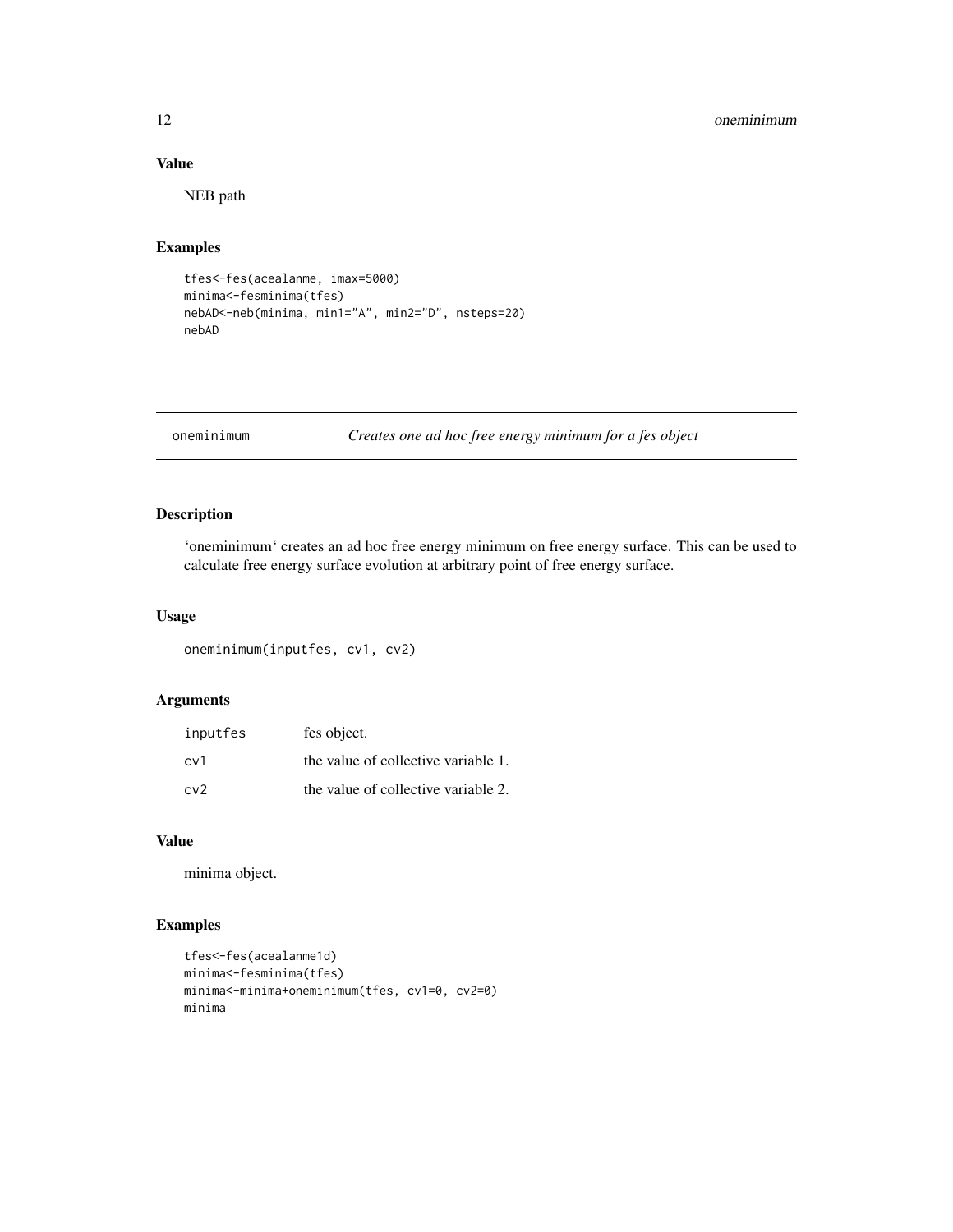#### Value

NEB path

#### Examples

```
tfes<-fes(acealanme, imax=5000)
minima<-fesminima(tfes)
nebAD<-neb(minima, min1="A", min2="D", nsteps=20)
nebAD
```
oneminimum *Creates one ad hoc free energy minimum for a fes object*

#### Description

'oneminimum' creates an ad hoc free energy minimum on free energy surface. This can be used to calculate free energy surface evolution at arbitrary point of free energy surface.

#### Usage

oneminimum(inputfes, cv1, cv2)

#### Arguments

| inputfes | fes object.                         |
|----------|-------------------------------------|
| cv1      | the value of collective variable 1. |
| cv2      | the value of collective variable 2. |

#### Value

minima object.

```
tfes<-fes(acealanme1d)
minima<-fesminima(tfes)
minima<-minima+oneminimum(tfes, cv1=0, cv2=0)
minima
```
<span id="page-11-0"></span>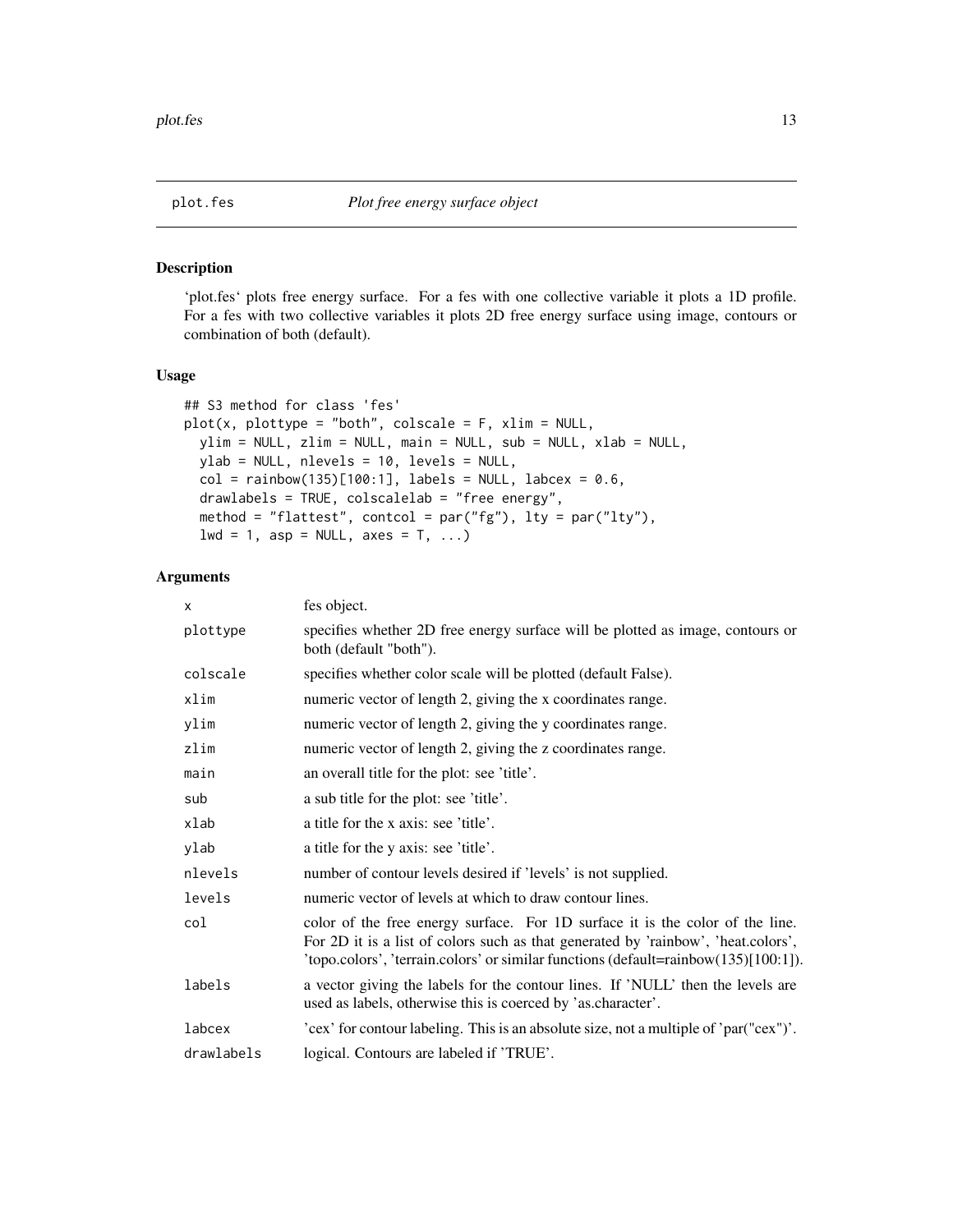<span id="page-12-0"></span>

'plot.fes' plots free energy surface. For a fes with one collective variable it plots a 1D profile. For a fes with two collective variables it plots 2D free energy surface using image, contours or combination of both (default).

#### Usage

```
## S3 method for class 'fes'
plot(x, plottype = "both", colscale = F, xlim = NULL,ylim = NULL, zlim = NULL, main = NULL, sub = NULL, xlab = NULL,
 ylab = NULL, nlevels = 10, levels = NULL,
 col = rainbow(135)[100:1], labels = NULL, labels = 0.6,drawlabels = TRUE, colscalelab = "free energy",
 method = "flattest", contcol = par("fg"), lty = par("lty"),
  lwd = 1, asp = NULL, axes = T, ...)
```

| X          | fes object.                                                                                                                                                                                                                                               |
|------------|-----------------------------------------------------------------------------------------------------------------------------------------------------------------------------------------------------------------------------------------------------------|
| plottype   | specifies whether 2D free energy surface will be plotted as image, contours or<br>both (default "both").                                                                                                                                                  |
| colscale   | specifies whether color scale will be plotted (default False).                                                                                                                                                                                            |
| xlim       | numeric vector of length 2, giving the x coordinates range.                                                                                                                                                                                               |
| ylim       | numeric vector of length 2, giving the y coordinates range.                                                                                                                                                                                               |
| zlim       | numeric vector of length 2, giving the z coordinates range.                                                                                                                                                                                               |
| main       | an overall title for the plot: see 'title'.                                                                                                                                                                                                               |
| sub        | a sub title for the plot: see 'title'.                                                                                                                                                                                                                    |
| xlab       | a title for the x axis: see 'title'.                                                                                                                                                                                                                      |
| ylab       | a title for the y axis: see 'title'.                                                                                                                                                                                                                      |
| nlevels    | number of contour levels desired if 'levels' is not supplied.                                                                                                                                                                                             |
| levels     | numeric vector of levels at which to draw contour lines.                                                                                                                                                                                                  |
| col        | color of the free energy surface. For 1D surface it is the color of the line.<br>For 2D it is a list of colors such as that generated by 'rainbow', 'heat.colors',<br>'topo.colors', 'terrain.colors' or similar functions (default=rainbow(135)[100:1]). |
| labels     | a vector giving the labels for the contour lines. If 'NULL' then the levels are<br>used as labels, otherwise this is coerced by 'as character'.                                                                                                           |
| labcex     | 'cex' for contour labeling. This is an absolute size, not a multiple of 'par("cex")'.                                                                                                                                                                     |
| drawlabels | logical. Contours are labeled if 'TRUE'.                                                                                                                                                                                                                  |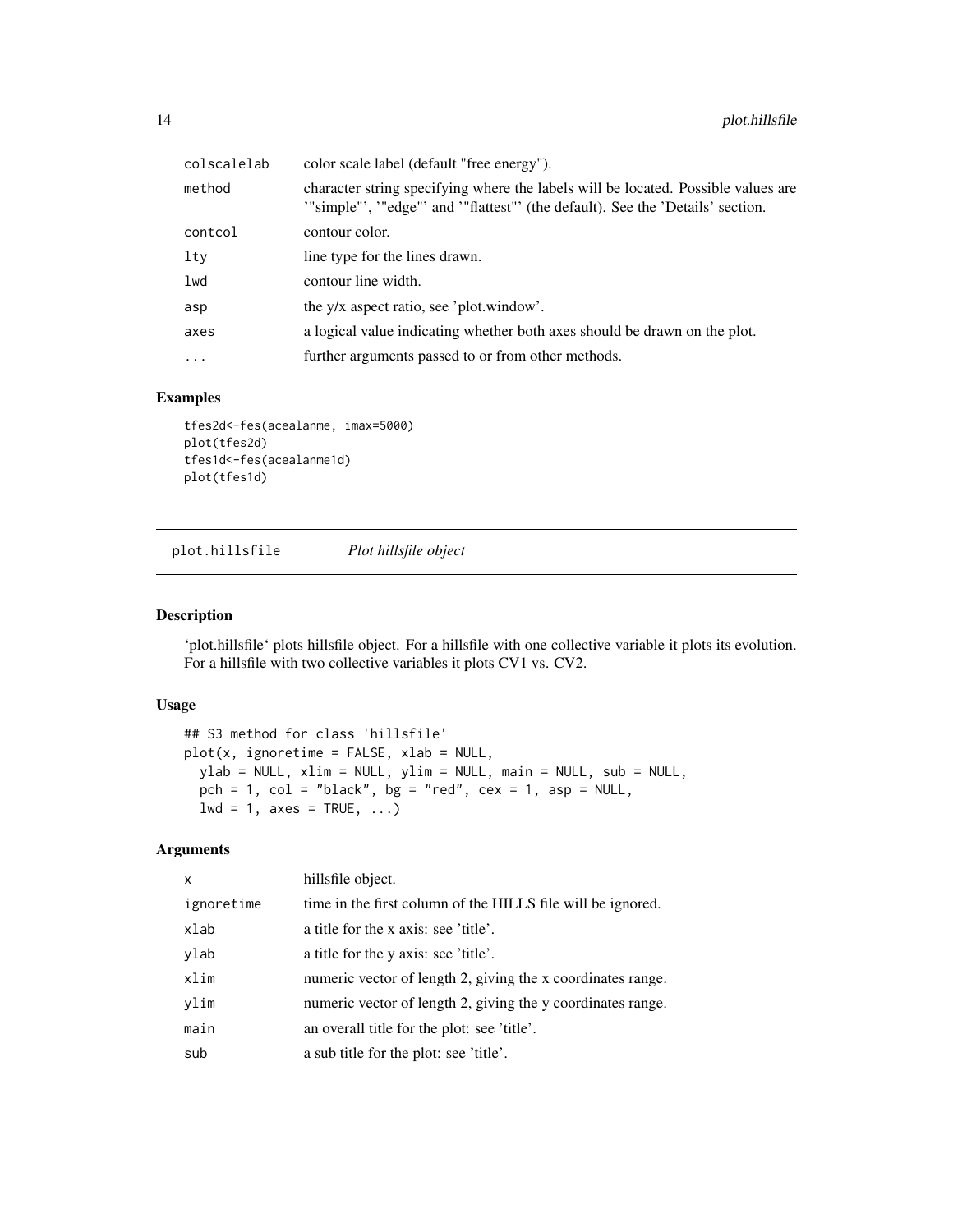<span id="page-13-0"></span>

| colscalelab | color scale label (default "free energy").                                                                                                                         |
|-------------|--------------------------------------------------------------------------------------------------------------------------------------------------------------------|
| method      | character string specifying where the labels will be located. Possible values are<br>"simple"', "edge"' and '"flattest"' (the default). See the 'Details' section. |
| contcol     | contour color.                                                                                                                                                     |
| ltv         | line type for the lines drawn.                                                                                                                                     |
| lwd         | contour line width.                                                                                                                                                |
| asp         | the y/x aspect ratio, see 'plot.window'.                                                                                                                           |
| axes        | a logical value indicating whether both axes should be drawn on the plot.                                                                                          |
| $\cdots$    | further arguments passed to or from other methods.                                                                                                                 |

#### Examples

```
tfes2d<-fes(acealanme, imax=5000)
plot(tfes2d)
tfes1d<-fes(acealanme1d)
plot(tfes1d)
```
plot.hillsfile *Plot hillsfile object*

#### Description

'plot.hillsfile' plots hillsfile object. For a hillsfile with one collective variable it plots its evolution. For a hillsfile with two collective variables it plots CV1 vs. CV2.

#### Usage

```
## S3 method for class 'hillsfile'
plot(x, ignoretime = FALSE, xlab = NULL,
 ylab = NULL, xlim = NULL, ylim = NULL, main = NULL, sub = NULL,
 pch = 1, col = "black", bg = "red", cex = 1, asp = NULL,
 1wd = 1, axes = TRUE, ...
```

| x          | hillsfile object.                                           |
|------------|-------------------------------------------------------------|
| ignoretime | time in the first column of the HILLS file will be ignored. |
| xlab       | a title for the x axis: see 'title'.                        |
| ylab       | a title for the y axis: see 'title'.                        |
| xlim       | numeric vector of length 2, giving the x coordinates range. |
| ylim       | numeric vector of length 2, giving the y coordinates range. |
| main       | an overall title for the plot: see 'title'.                 |
| sub        | a sub title for the plot: see 'title'.                      |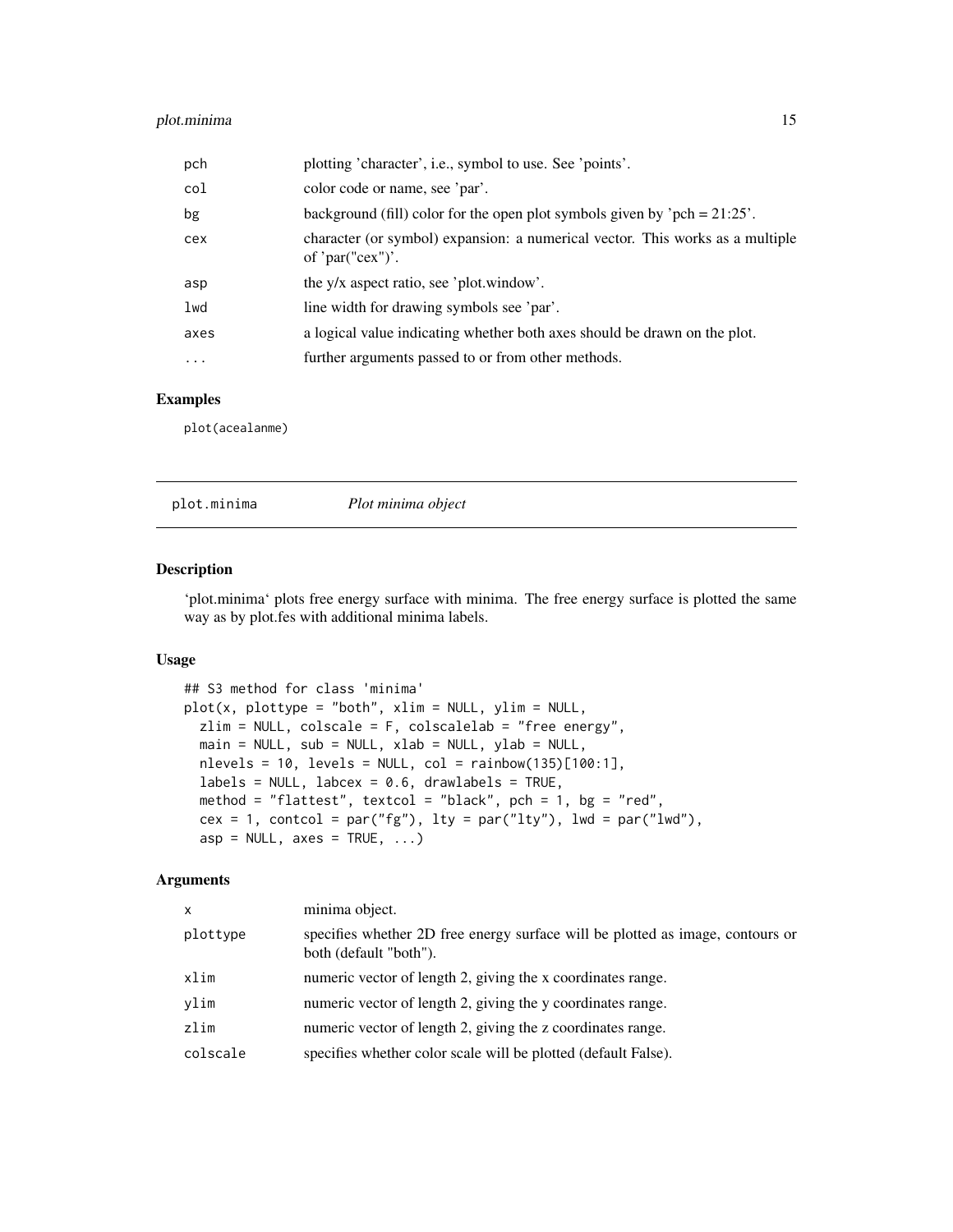#### <span id="page-14-0"></span>plot.minima 15

| pch       | plotting 'character', i.e., symbol to use. See 'points'.                                          |
|-----------|---------------------------------------------------------------------------------------------------|
| col       | color code or name, see 'par'.                                                                    |
| bg        | background (fill) color for the open plot symbols given by 'pch = $21:25'$ .                      |
| cex       | character (or symbol) expansion: a numerical vector. This works as a multiple<br>of 'par("cex")'. |
| asp       | the y/x aspect ratio, see 'plot.window'.                                                          |
| lwd       | line width for drawing symbols see 'par'.                                                         |
| axes      | a logical value indicating whether both axes should be drawn on the plot.                         |
| $\ddotsc$ | further arguments passed to or from other methods.                                                |

#### Examples

plot(acealanme)

plot.minima *Plot minima object*

#### Description

'plot.minima' plots free energy surface with minima. The free energy surface is plotted the same way as by plot.fes with additional minima labels.

#### Usage

```
## S3 method for class 'minima'
plot(x, plottype = "both", xlim = NULL, ylim = NULL,
 zlim = NULL, colscale = F, colscalelab = "free energy",
 main = NULL, sub = NULL, xlab = NULL, ylab = NULL,
 nlevels = 10, levels = NULL, col = rainbow(135)[100:1],labels = NULL, labcex = 0.6, drawlabels = TRUE,
 method = "flattest", textcol = "black", pch = 1, bg = "red",
 cex = 1, contcol = par("fg"), lty = par("lty"), lwd = par("lwd"),
  asp = NULL, axes = TRUE, ...)
```

| minima object.                                                                                           |
|----------------------------------------------------------------------------------------------------------|
| specifies whether 2D free energy surface will be plotted as image, contours or<br>both (default "both"). |
| numeric vector of length 2, giving the x coordinates range.                                              |
| numeric vector of length 2, giving the y coordinates range.                                              |
| numeric vector of length 2, giving the z coordinates range.                                              |
| specifies whether color scale will be plotted (default False).                                           |
|                                                                                                          |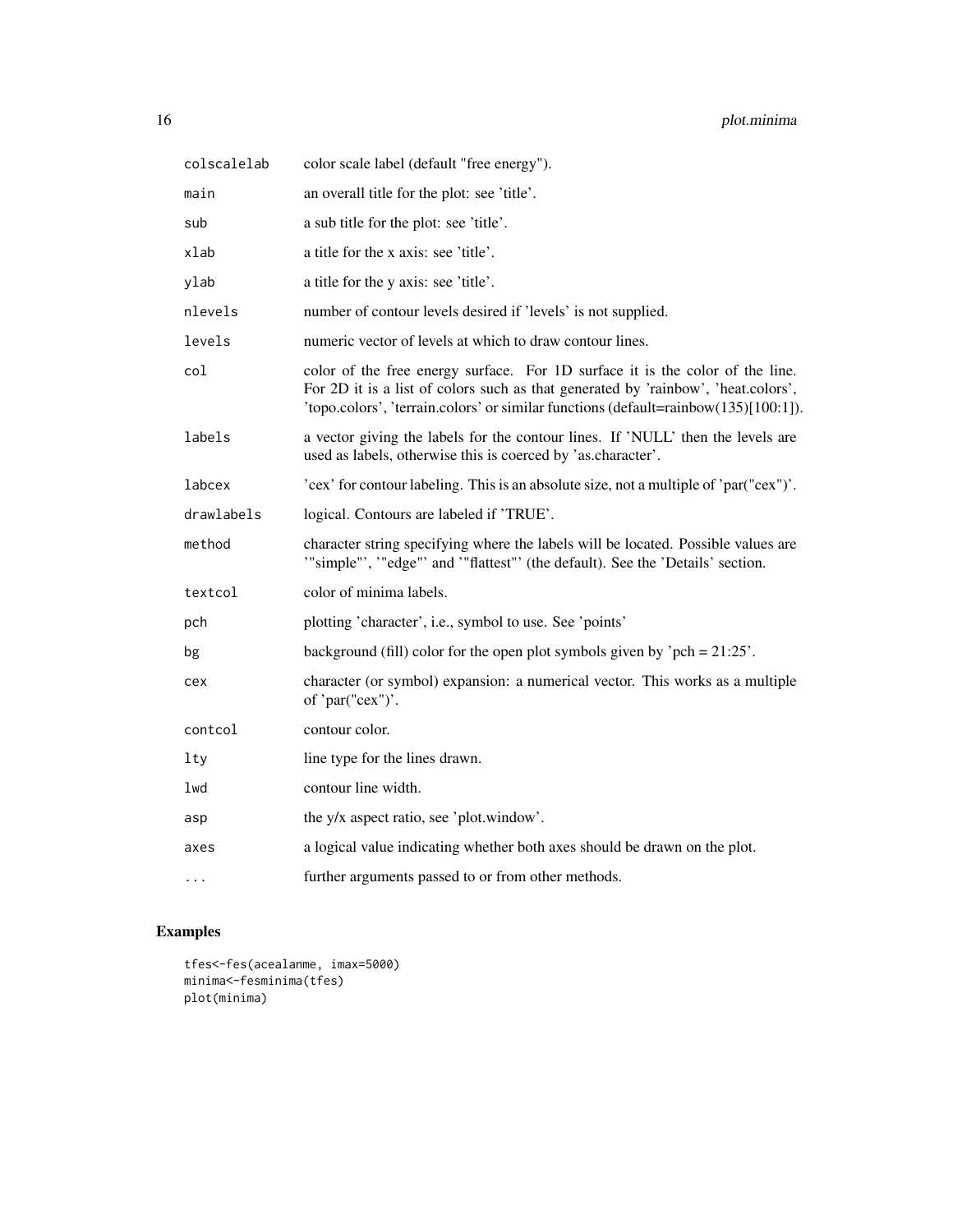| colscalelab | color scale label (default "free energy").                                                                                                                                                                                                                |
|-------------|-----------------------------------------------------------------------------------------------------------------------------------------------------------------------------------------------------------------------------------------------------------|
| main        | an overall title for the plot: see 'title'.                                                                                                                                                                                                               |
| sub         | a sub title for the plot: see 'title'.                                                                                                                                                                                                                    |
| xlab        | a title for the x axis: see 'title'.                                                                                                                                                                                                                      |
| ylab        | a title for the y axis: see 'title'.                                                                                                                                                                                                                      |
| nlevels     | number of contour levels desired if 'levels' is not supplied.                                                                                                                                                                                             |
| levels      | numeric vector of levels at which to draw contour lines.                                                                                                                                                                                                  |
| col         | color of the free energy surface. For 1D surface it is the color of the line.<br>For 2D it is a list of colors such as that generated by 'rainbow', 'heat.colors',<br>'topo.colors', 'terrain.colors' or similar functions (default=rainbow(135)[100:1]). |
| labels      | a vector giving the labels for the contour lines. If 'NULL' then the levels are<br>used as labels, otherwise this is coerced by 'as.character'.                                                                                                           |
| labcex      | 'cex' for contour labeling. This is an absolute size, not a multiple of 'par("cex")'.                                                                                                                                                                     |
| drawlabels  | logical. Contours are labeled if 'TRUE'.                                                                                                                                                                                                                  |
| method      | character string specifying where the labels will be located. Possible values are<br>"simple"', "edge"' and '"flattest"' (the default). See the 'Details' section.                                                                                        |
| textcol     | color of minima labels.                                                                                                                                                                                                                                   |
| pch         | plotting 'character', i.e., symbol to use. See 'points'                                                                                                                                                                                                   |
| bg          | background (fill) color for the open plot symbols given by 'pch = $21:25'$ .                                                                                                                                                                              |
| cex         | character (or symbol) expansion: a numerical vector. This works as a multiple<br>of 'par("cex")'.                                                                                                                                                         |
| contcol     | contour color.                                                                                                                                                                                                                                            |
| $1$ ty      | line type for the lines drawn.                                                                                                                                                                                                                            |
| lwd         | contour line width.                                                                                                                                                                                                                                       |
| asp         | the y/x aspect ratio, see 'plot.window'.                                                                                                                                                                                                                  |
| axes        | a logical value indicating whether both axes should be drawn on the plot.                                                                                                                                                                                 |
| .           | further arguments passed to or from other methods.                                                                                                                                                                                                        |

```
tfes<-fes(acealanme, imax=5000)
minima<-fesminima(tfes)
plot(minima)
```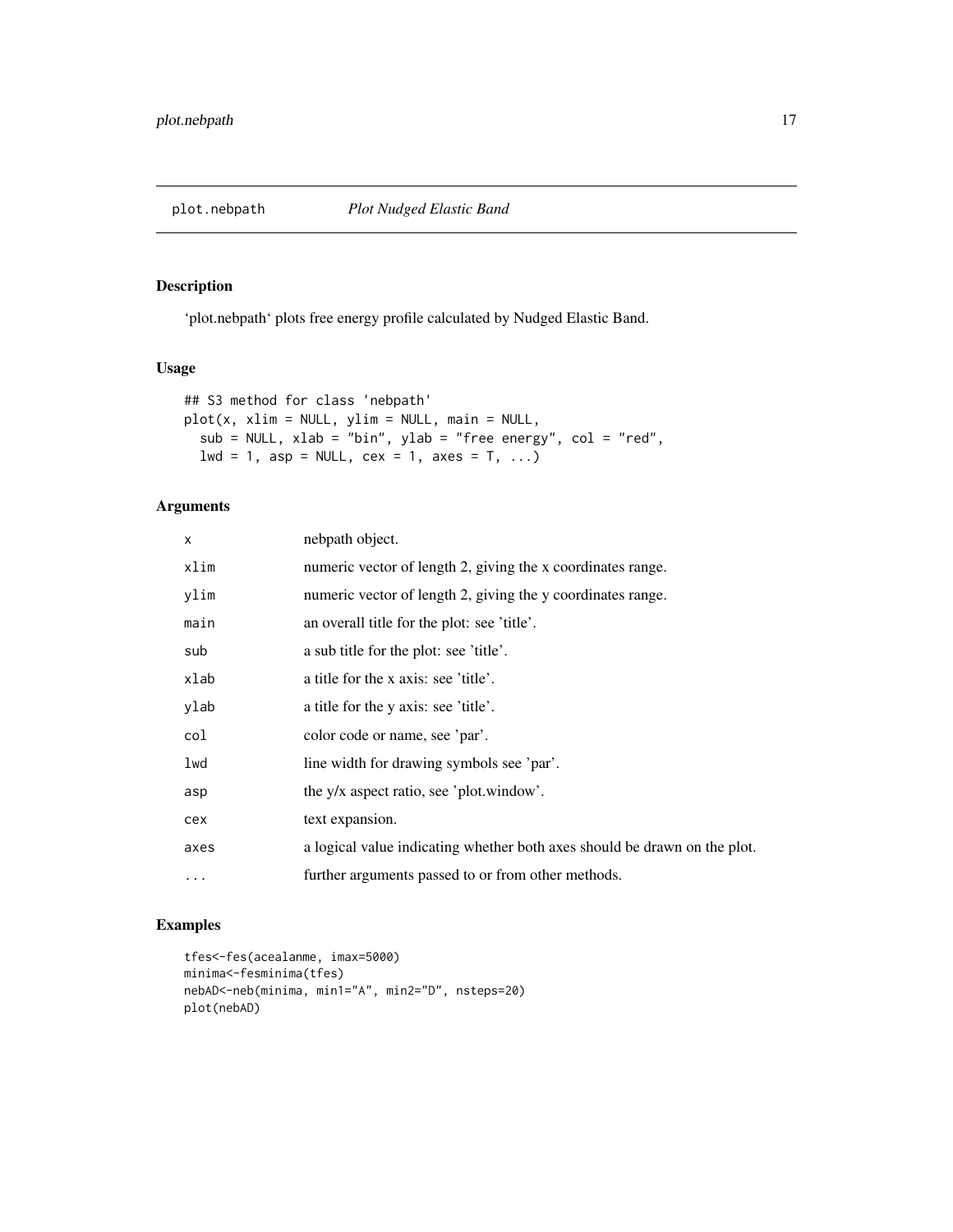<span id="page-16-0"></span>

'plot.nebpath' plots free energy profile calculated by Nudged Elastic Band.

#### Usage

```
## S3 method for class 'nebpath'
plot(x, xlim = NULL, ylim = NULL, main = NULL,
 sub = NULL, xlab = "bin", ylab = "free energy", col = "red",
 lwd = 1, asp = NULL, cex = 1, axes = T, ...)
```
#### Arguments

| $\times$  | nebpath object.                                                           |
|-----------|---------------------------------------------------------------------------|
| xlim      | numeric vector of length 2, giving the x coordinates range.               |
| ylim      | numeric vector of length 2, giving the y coordinates range.               |
| main      | an overall title for the plot: see 'title'.                               |
| sub       | a sub title for the plot: see 'title'.                                    |
| xlab      | a title for the x axis: see 'title'.                                      |
| ylab      | a title for the y axis: see 'title'.                                      |
| col       | color code or name, see 'par'.                                            |
| lwd       | line width for drawing symbols see 'par'.                                 |
| asp       | the y/x aspect ratio, see 'plot.window'.                                  |
| cex       | text expansion.                                                           |
| axes      | a logical value indicating whether both axes should be drawn on the plot. |
| $\ddotsc$ | further arguments passed to or from other methods.                        |

```
tfes<-fes(acealanme, imax=5000)
minima<-fesminima(tfes)
nebAD<-neb(minima, min1="A", min2="D", nsteps=20)
plot(nebAD)
```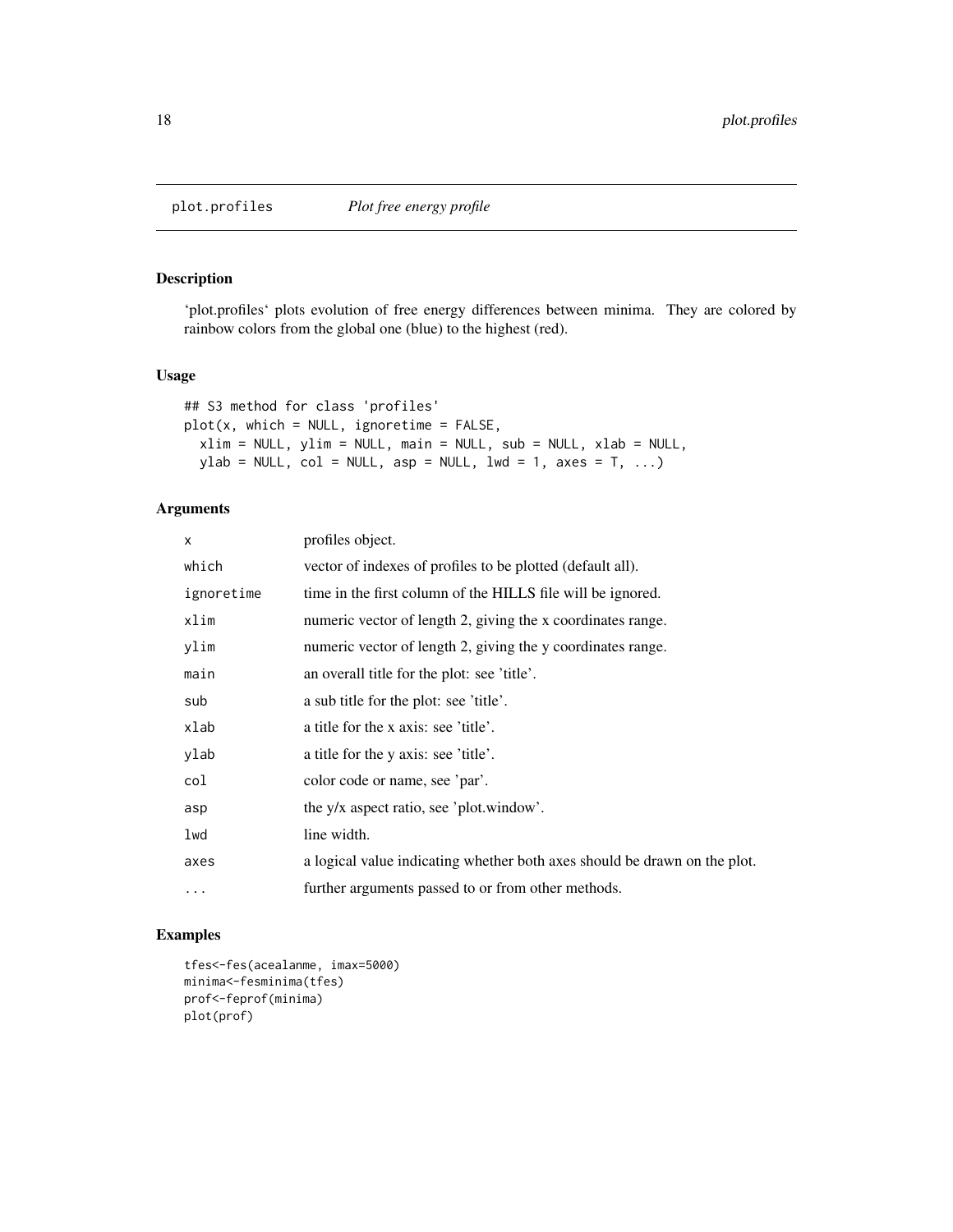'plot.profiles' plots evolution of free energy differences between minima. They are colored by rainbow colors from the global one (blue) to the highest (red).

#### Usage

```
## S3 method for class 'profiles'
plot(x, which = NULL, ignore time = FALSE,xlim = NULL, ylim = NULL, main = NULL, sub = NULL, xlab = NULL,
 ylab = NULL, col = NULL, asp = NULL, lwd = 1, axes = T, ...)
```
#### Arguments

| X          | profiles object.                                                          |
|------------|---------------------------------------------------------------------------|
| which      | vector of indexes of profiles to be plotted (default all).                |
| ignoretime | time in the first column of the HILLS file will be ignored.               |
| xlim       | numeric vector of length 2, giving the x coordinates range.               |
| ylim       | numeric vector of length 2, giving the y coordinates range.               |
| main       | an overall title for the plot: see 'title'.                               |
| sub        | a sub title for the plot: see 'title'.                                    |
| xlab       | a title for the x axis: see 'title'.                                      |
| ylab       | a title for the y axis: see 'title'.                                      |
| col        | color code or name, see 'par'.                                            |
| asp        | the y/x aspect ratio, see 'plot.window'.                                  |
| lwd        | line width.                                                               |
| axes       | a logical value indicating whether both axes should be drawn on the plot. |
| $\cdots$   | further arguments passed to or from other methods.                        |

```
tfes<-fes(acealanme, imax=5000)
minima<-fesminima(tfes)
prof<-feprof(minima)
plot(prof)
```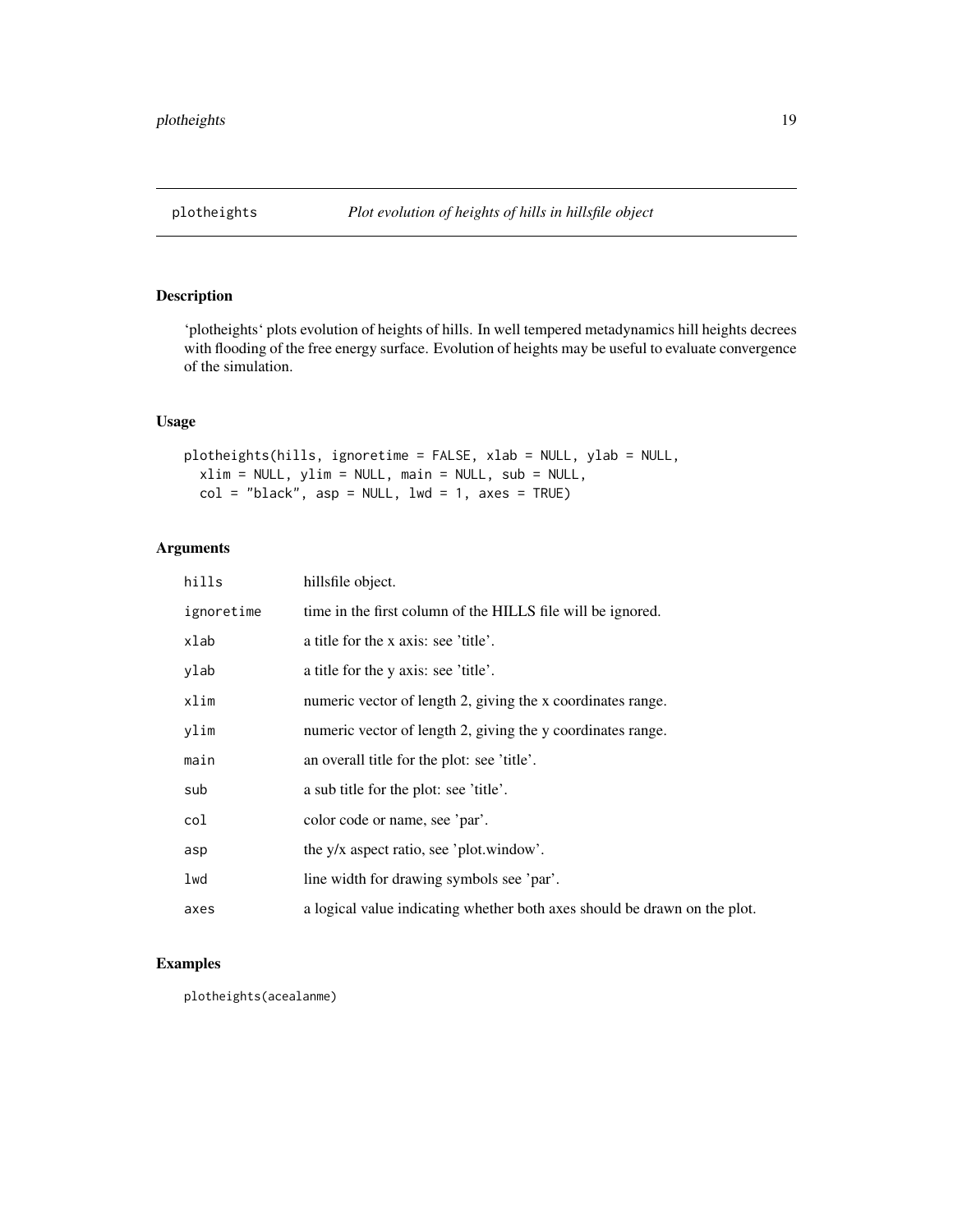<span id="page-18-0"></span>

'plotheights' plots evolution of heights of hills. In well tempered metadynamics hill heights decrees with flooding of the free energy surface. Evolution of heights may be useful to evaluate convergence of the simulation.

#### Usage

```
plotheights(hills, ignoretime = FALSE, xlab = NULL, ylab = NULL,
 xlim = NULL, ylim = NULL, main = NULL, sub = NULL,col = "black", asp = NULL, lwd = 1, axes = TRUE)
```
#### Arguments

| hills      | hillsfile object.                                                         |
|------------|---------------------------------------------------------------------------|
| ignoretime | time in the first column of the HILLS file will be ignored.               |
| xlab       | a title for the x axis: see 'title'.                                      |
| ylab       | a title for the y axis: see 'title'.                                      |
| xlim       | numeric vector of length 2, giving the x coordinates range.               |
| ylim       | numeric vector of length 2, giving the y coordinates range.               |
| main       | an overall title for the plot: see 'title'.                               |
| sub        | a sub title for the plot: see 'title'.                                    |
| col        | color code or name, see 'par'.                                            |
| asp        | the y/x aspect ratio, see 'plot.window'.                                  |
| lwd        | line width for drawing symbols see 'par'.                                 |
| axes       | a logical value indicating whether both axes should be drawn on the plot. |

#### Examples

plotheights(acealanme)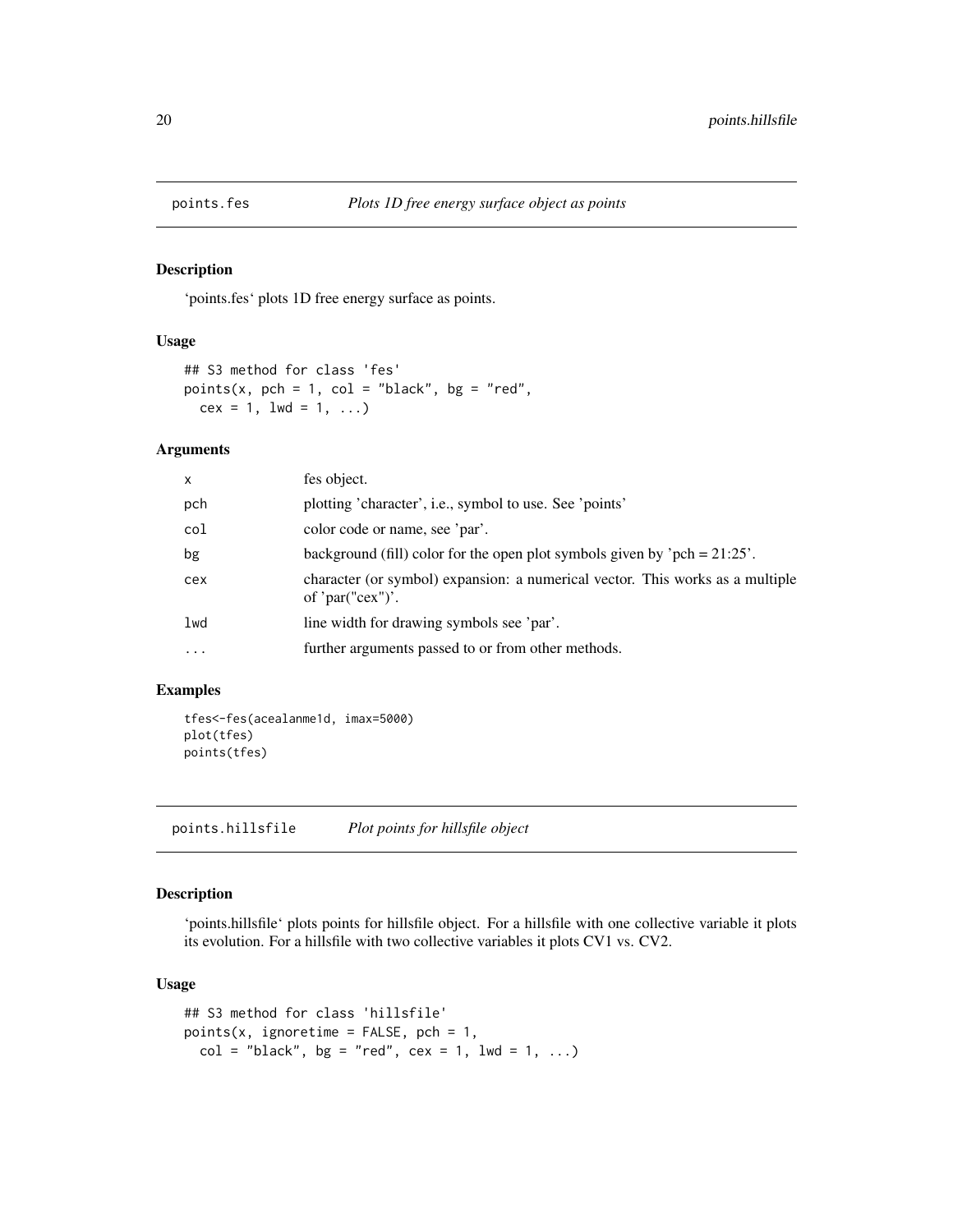<span id="page-19-0"></span>

'points.fes' plots 1D free energy surface as points.

#### Usage

```
## S3 method for class 'fes'
points(x, pch = 1, col = "black", bg = "red",
 cex = 1, 1wd = 1, ...)
```
#### Arguments

| $\mathsf{x}$ | fes object.                                                                                       |
|--------------|---------------------------------------------------------------------------------------------------|
| pch          | plotting 'character', i.e., symbol to use. See 'points'                                           |
| col          | color code or name, see 'par'.                                                                    |
| bg           | background (fill) color for the open plot symbols given by 'pch = $21:25'$ .                      |
| cex          | character (or symbol) expansion: a numerical vector. This works as a multiple<br>of 'par("cex")'. |
| lwd          | line width for drawing symbols see 'par'.                                                         |
| $\ddotsc$    | further arguments passed to or from other methods.                                                |
|              |                                                                                                   |

#### Examples

```
tfes<-fes(acealanme1d, imax=5000)
plot(tfes)
points(tfes)
```
points.hillsfile *Plot points for hillsfile object*

#### Description

'points.hillsfile' plots points for hillsfile object. For a hillsfile with one collective variable it plots its evolution. For a hillsfile with two collective variables it plots CV1 vs. CV2.

#### Usage

```
## S3 method for class 'hillsfile'
points(x, ignoretime = FALSE, pch = 1,col = "black", bg = "red", cex = 1, lwd = 1, ...)
```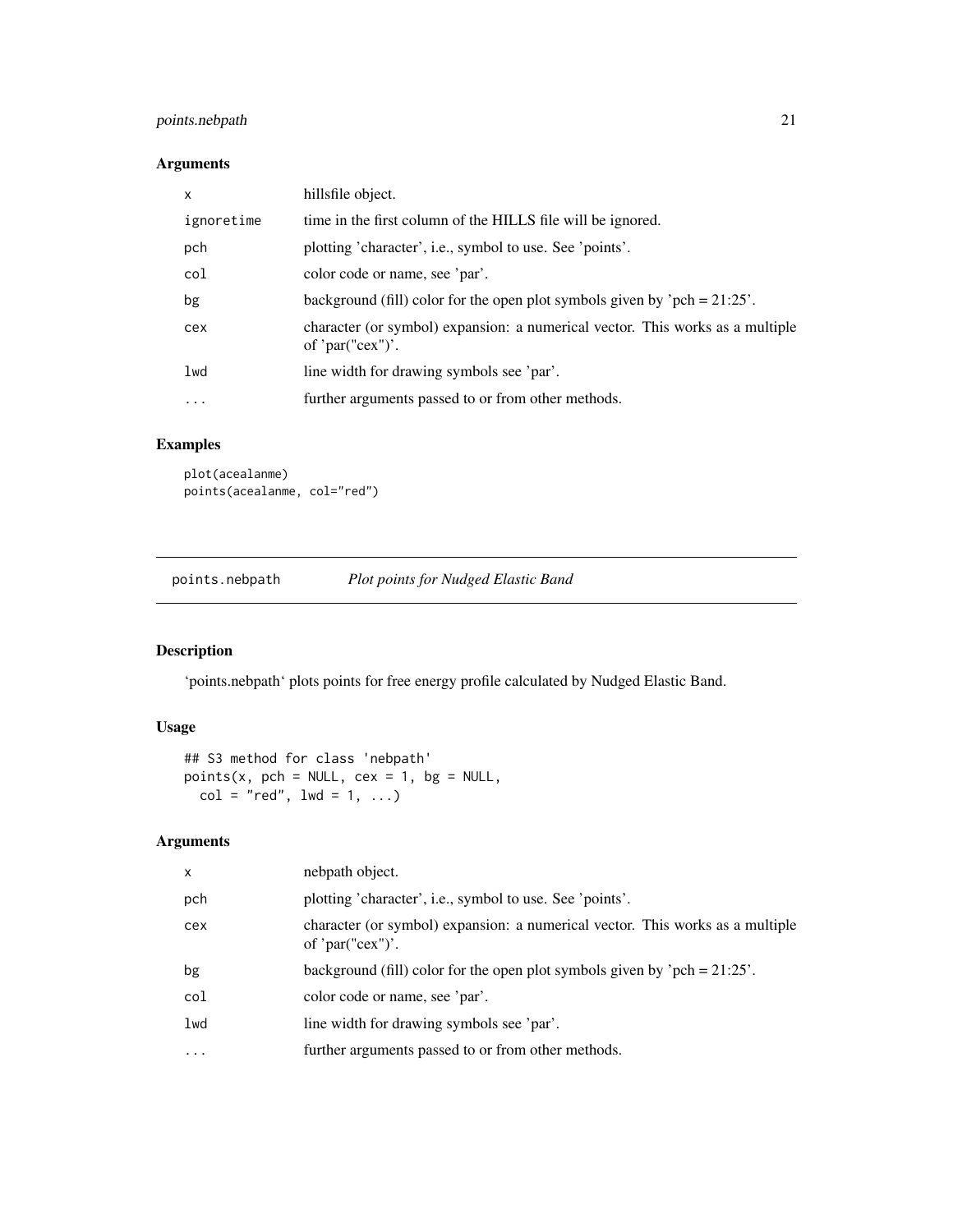#### <span id="page-20-0"></span>points.nebpath 21

#### Arguments

| $\mathsf{x}$ | hillsfile object.                                                                                 |
|--------------|---------------------------------------------------------------------------------------------------|
| ignoretime   | time in the first column of the HILLS file will be ignored.                                       |
| pch          | plotting 'character', i.e., symbol to use. See 'points'.                                          |
| col          | color code or name, see 'par'.                                                                    |
| bg           | background (fill) color for the open plot symbols given by 'pch = $21:25'$ .                      |
| cex          | character (or symbol) expansion: a numerical vector. This works as a multiple<br>of 'par("cex")'. |
| lwd          | line width for drawing symbols see 'par'.                                                         |
| $\ddotsc$    | further arguments passed to or from other methods.                                                |
|              |                                                                                                   |

#### Examples

```
plot(acealanme)
points(acealanme, col="red")
```
points.nebpath *Plot points for Nudged Elastic Band*

#### Description

'points.nebpath' plots points for free energy profile calculated by Nudged Elastic Band.

#### Usage

```
## S3 method for class 'nebpath'
points(x, pch = NULL, cex = 1, bg = NULL,col = "red", \text{ lwd} = 1, ...
```

| x         | nebpath object.                                                                                   |
|-----------|---------------------------------------------------------------------------------------------------|
| pch       | plotting 'character', i.e., symbol to use. See 'points'.                                          |
| cex       | character (or symbol) expansion: a numerical vector. This works as a multiple<br>of 'par("cex")'. |
| bg        | background (fill) color for the open plot symbols given by 'pch = $21:25'$ .                      |
| col       | color code or name, see 'par'.                                                                    |
| 1wd       | line width for drawing symbols see 'par'.                                                         |
| $\ddotsc$ | further arguments passed to or from other methods.                                                |
|           |                                                                                                   |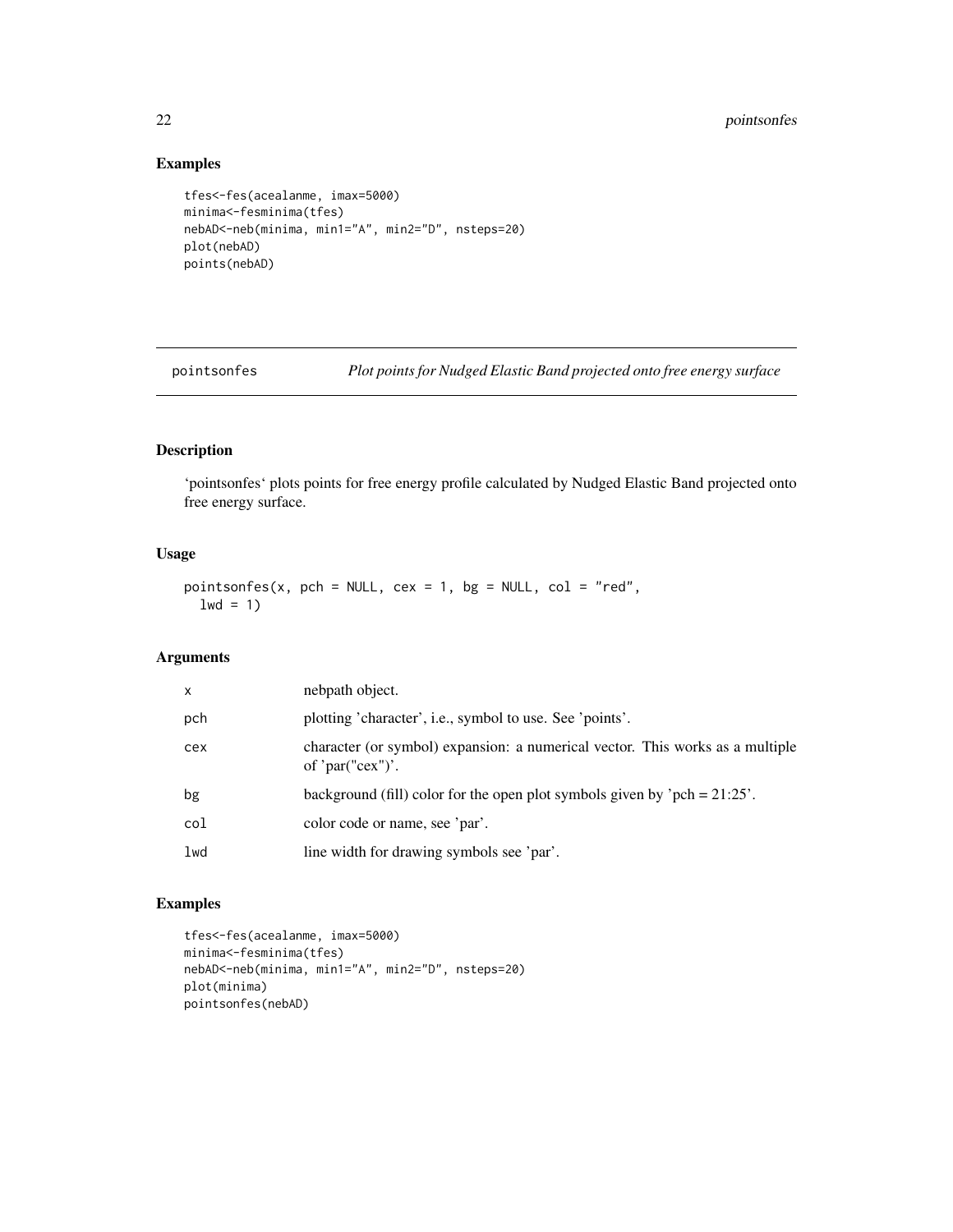#### <span id="page-21-0"></span>22 pointsonfes

#### Examples

```
tfes<-fes(acealanme, imax=5000)
minima<-fesminima(tfes)
nebAD<-neb(minima, min1="A", min2="D", nsteps=20)
plot(nebAD)
points(nebAD)
```
pointsonfes *Plot points for Nudged Elastic Band projected onto free energy surface*

#### Description

'pointsonfes' plots points for free energy profile calculated by Nudged Elastic Band projected onto free energy surface.

#### Usage

```
pointsonfes(x, pch = NULL, cex = 1, bg = NULL, col = "red",
  1wd = 1
```
#### Arguments

| $\mathsf{x}$ | nebpath object.                                                                                      |
|--------------|------------------------------------------------------------------------------------------------------|
| pch          | plotting 'character', i.e., symbol to use. See 'points'.                                             |
| cex          | character (or symbol) expansion: a numerical vector. This works as a multiple<br>of ' $par("cex")'.$ |
| bg           | background (fill) color for the open plot symbols given by 'pch = $21:25'$ .                         |
| col          | color code or name, see 'par'.                                                                       |
| lwd          | line width for drawing symbols see 'par'.                                                            |
|              |                                                                                                      |

```
tfes<-fes(acealanme, imax=5000)
minima<-fesminima(tfes)
nebAD<-neb(minima, min1="A", min2="D", nsteps=20)
plot(minima)
pointsonfes(nebAD)
```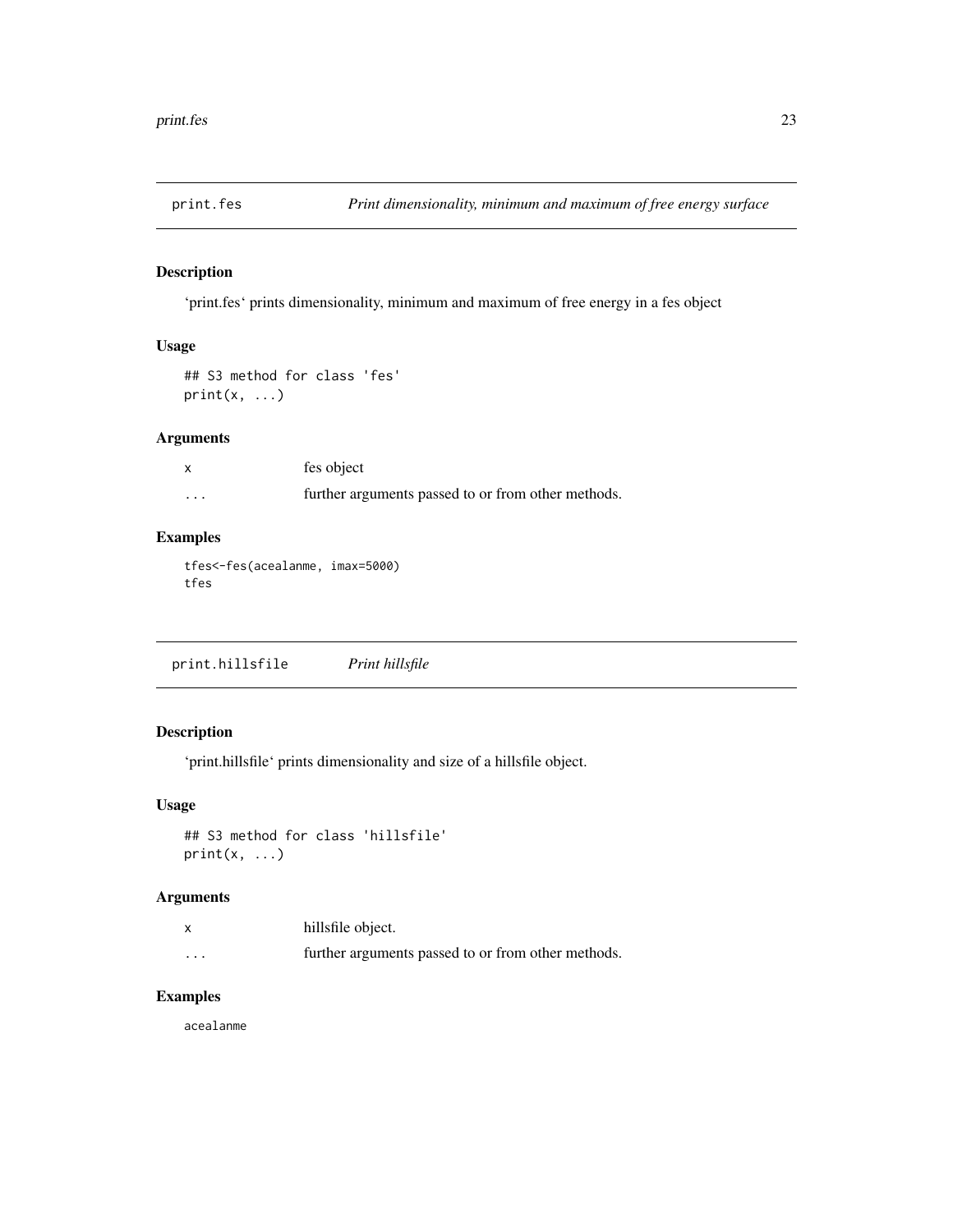<span id="page-22-0"></span>

'print.fes' prints dimensionality, minimum and maximum of free energy in a fes object

#### Usage

```
## S3 method for class 'fes'
print(x, \ldots)
```
#### Arguments

|          | fes object                                         |
|----------|----------------------------------------------------|
| $\cdots$ | further arguments passed to or from other methods. |

#### Examples

tfes<-fes(acealanme, imax=5000) tfes

print.hillsfile *Print hillsfile*

#### Description

'print.hillsfile' prints dimensionality and size of a hillsfile object.

#### Usage

```
## S3 method for class 'hillsfile'
print(x, \ldots)
```
#### Arguments

|                      | hillsfile object.                                  |
|----------------------|----------------------------------------------------|
| $\ddot{\phantom{0}}$ | further arguments passed to or from other methods. |

#### Examples

acealanme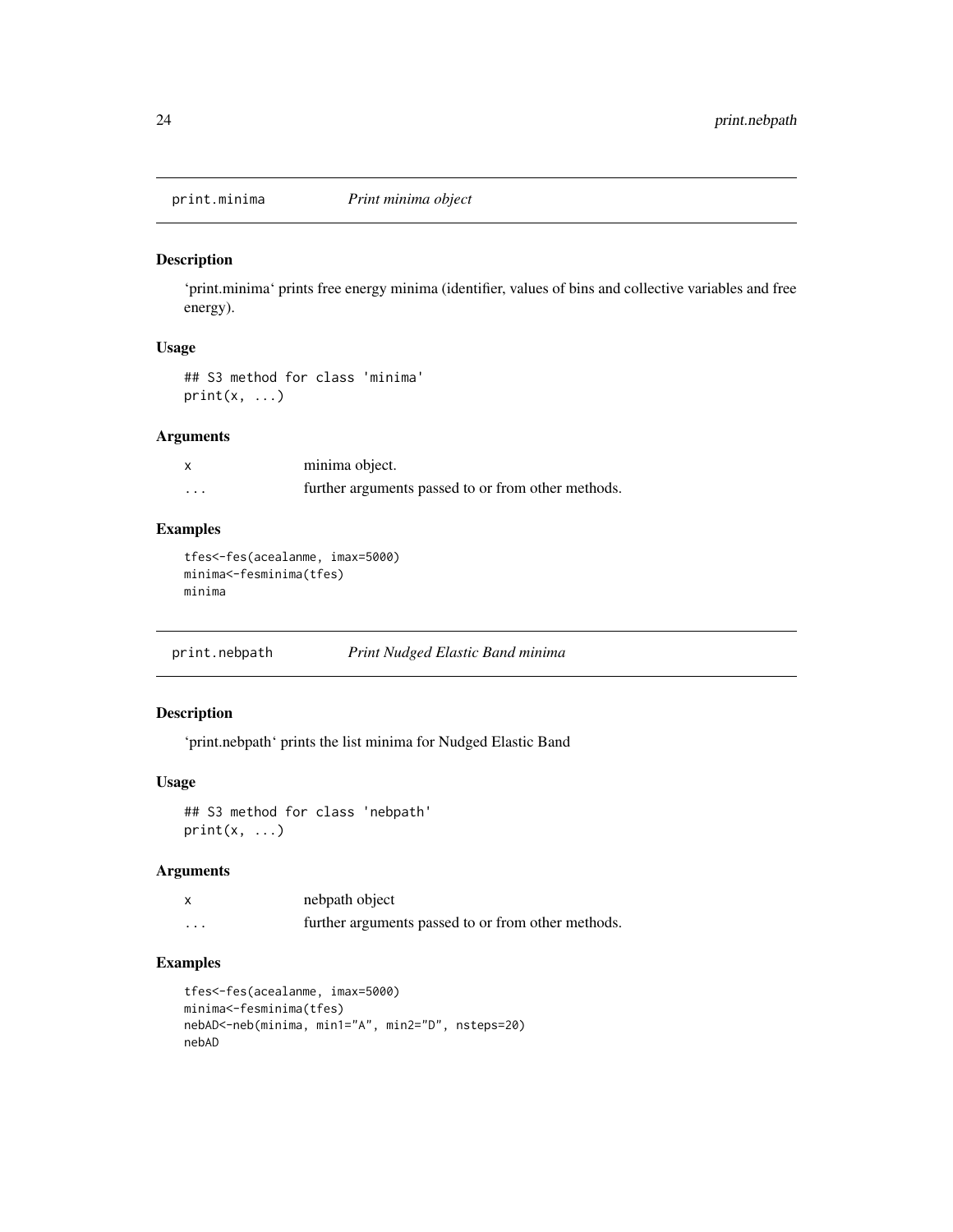<span id="page-23-0"></span>

'print.minima' prints free energy minima (identifier, values of bins and collective variables and free energy).

#### Usage

```
## S3 method for class 'minima'
print(x, \ldots)
```
#### Arguments

|          | minima object.                                     |
|----------|----------------------------------------------------|
| $\cdots$ | further arguments passed to or from other methods. |

#### Examples

```
tfes<-fes(acealanme, imax=5000)
minima<-fesminima(tfes)
minima
```
print.nebpath *Print Nudged Elastic Band minima*

#### Description

'print.nebpath' prints the list minima for Nudged Elastic Band

#### Usage

## S3 method for class 'nebpath'  $print(x, \ldots)$ 

#### Arguments

|         | nebpath object                                     |
|---------|----------------------------------------------------|
| $\cdot$ | further arguments passed to or from other methods. |

```
tfes<-fes(acealanme, imax=5000)
minima<-fesminima(tfes)
nebAD<-neb(minima, min1="A", min2="D", nsteps=20)
nebAD
```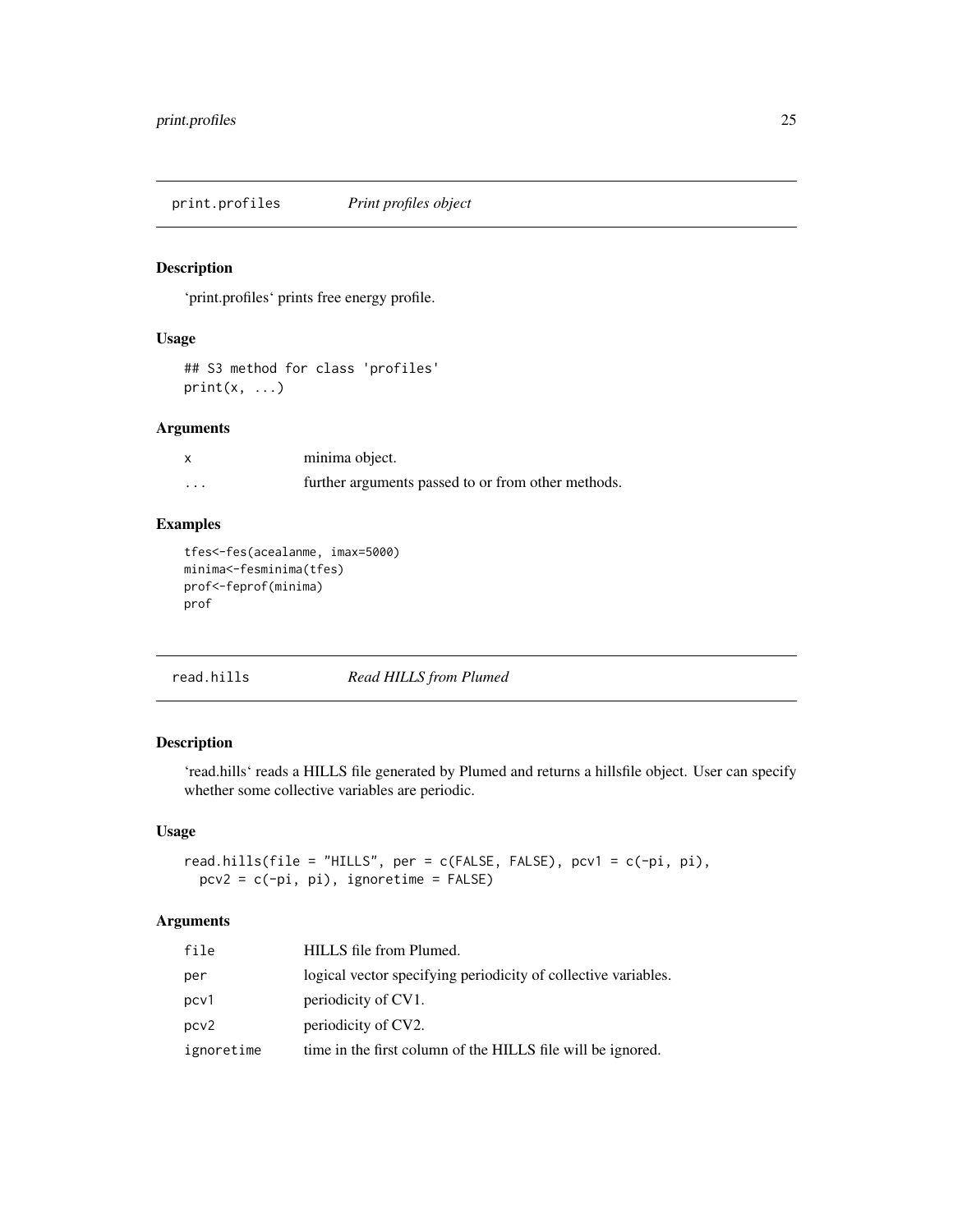<span id="page-24-0"></span>print.profiles *Print profiles object*

#### Description

'print.profiles' prints free energy profile.

#### Usage

```
## S3 method for class 'profiles'
print(x, \ldots)
```
#### Arguments

|          | minima object.                                     |
|----------|----------------------------------------------------|
| $\cdots$ | further arguments passed to or from other methods. |

#### Examples

```
tfes<-fes(acealanme, imax=5000)
minima<-fesminima(tfes)
prof<-feprof(minima)
prof
```
#### Description

'read.hills' reads a HILLS file generated by Plumed and returns a hillsfile object. User can specify whether some collective variables are periodic.

#### Usage

```
read.hills(file = "HILLS", per = c(FALSE, FALSE), pcv1 = c(-pi, pi),
 pcv2 = c(-pi, pi), ignoretime = FALSE)
```

| file       | HILLS file from Plumed.                                        |
|------------|----------------------------------------------------------------|
| per        | logical vector specifying periodicity of collective variables. |
| pcv1       | periodicity of CV1.                                            |
| pcv2       | periodicity of CV2.                                            |
| ignoretime | time in the first column of the HILLS file will be ignored.    |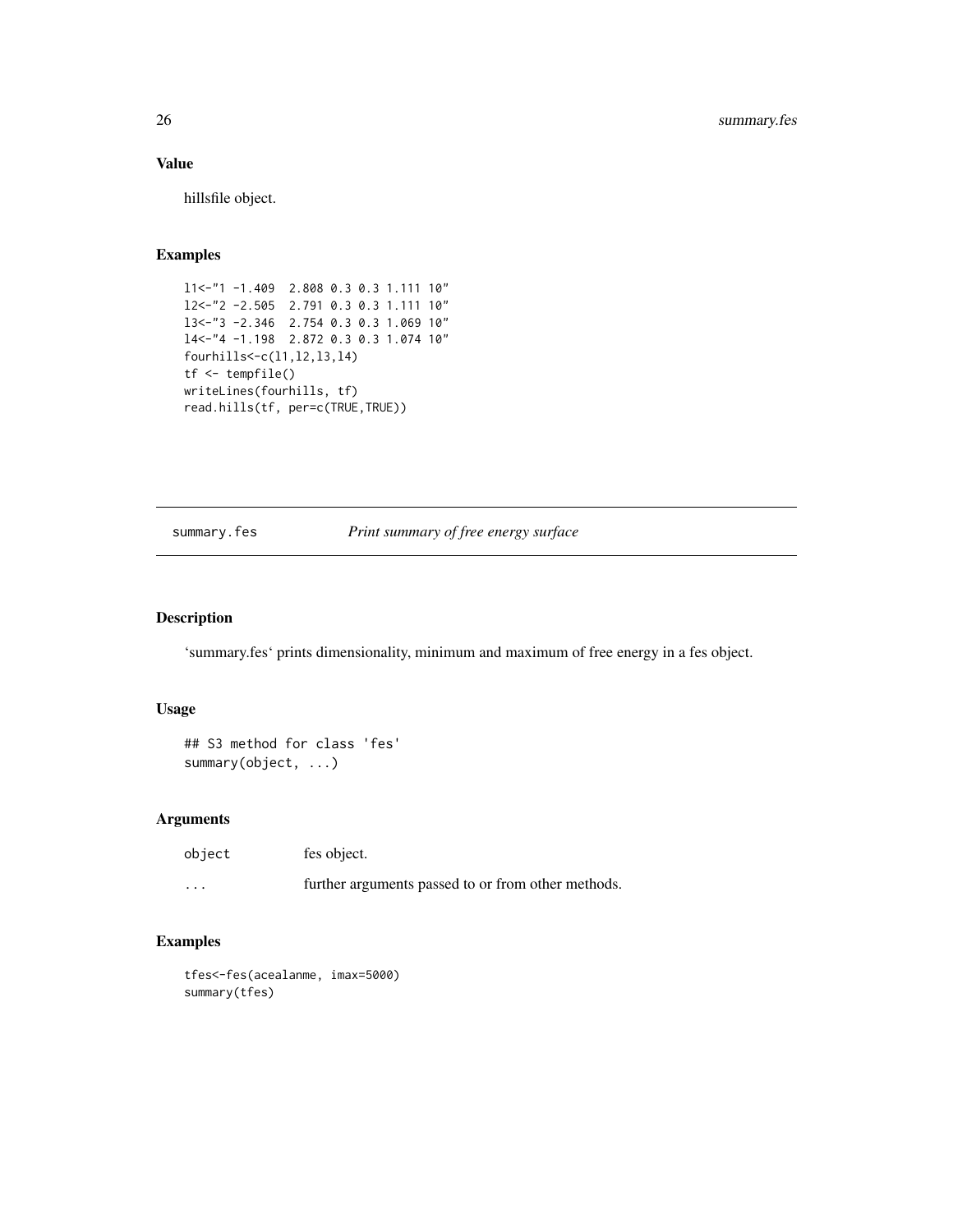#### Value

hillsfile object.

#### Examples

```
l1<-"1 -1.409 2.808 0.3 0.3 1.111 10"
l2<-"2 -2.505 2.791 0.3 0.3 1.111 10"
l3<-"3 -2.346 2.754 0.3 0.3 1.069 10"
l4<-"4 -1.198 2.872 0.3 0.3 1.074 10"
fourhills<-c(l1,l2,l3,l4)
tf <- tempfile()
writeLines(fourhills, tf)
read.hills(tf, per=c(TRUE,TRUE))
```
summary.fes *Print summary of free energy surface*

#### Description

'summary.fes' prints dimensionality, minimum and maximum of free energy in a fes object.

#### Usage

## S3 method for class 'fes' summary(object, ...)

#### Arguments

| object   | fes object.                                        |
|----------|----------------------------------------------------|
| $\cdots$ | further arguments passed to or from other methods. |

```
tfes<-fes(acealanme, imax=5000)
summary(tfes)
```
<span id="page-25-0"></span>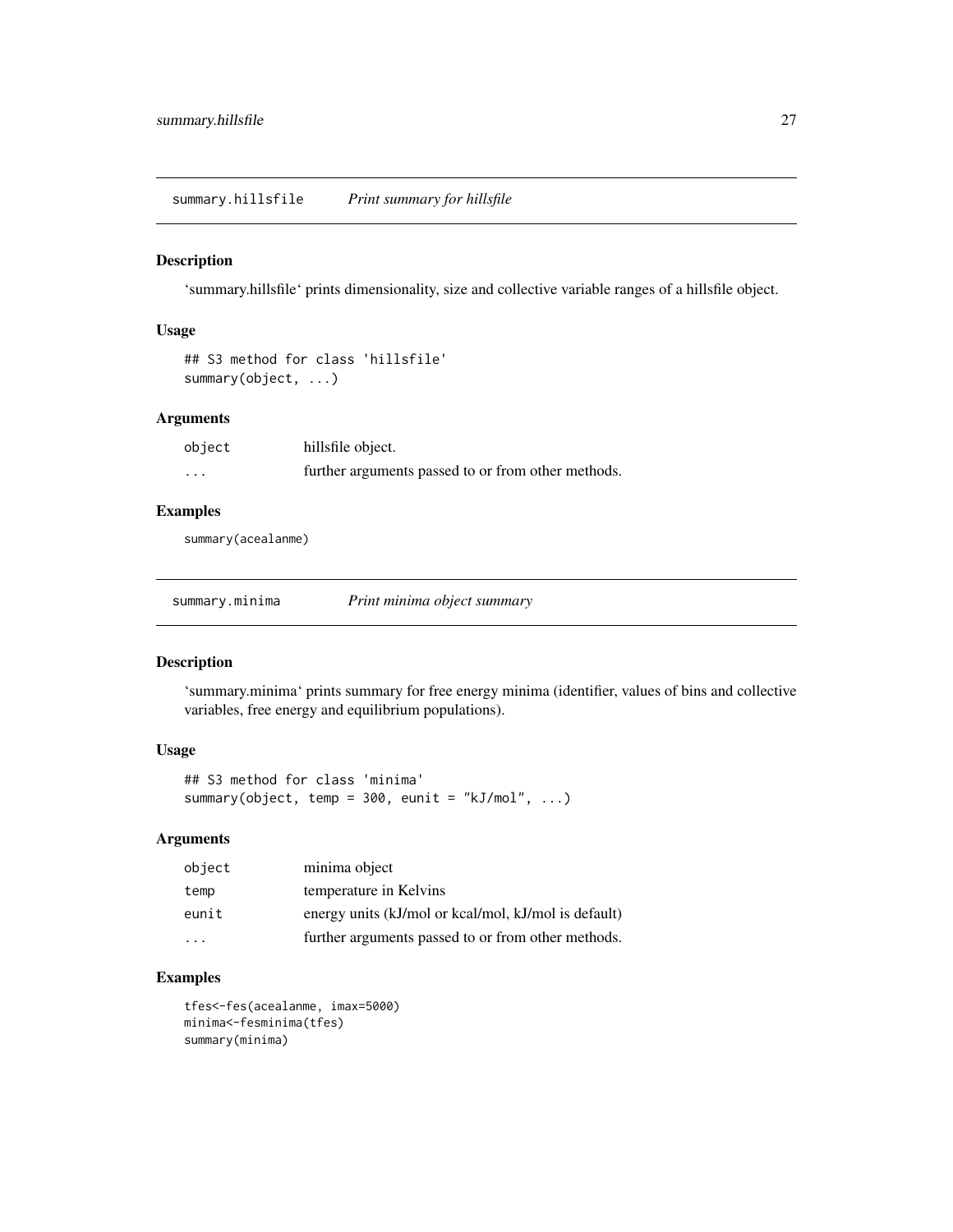<span id="page-26-0"></span>summary.hillsfile *Print summary for hillsfile*

#### Description

'summary.hillsfile' prints dimensionality, size and collective variable ranges of a hillsfile object.

#### Usage

```
## S3 method for class 'hillsfile'
summary(object, ...)
```
#### Arguments

| object   | hillsfile object.                                  |
|----------|----------------------------------------------------|
| $\cdots$ | further arguments passed to or from other methods. |

#### Examples

summary(acealanme)

| summary.mınıma | Print minima object summary |
|----------------|-----------------------------|
|                |                             |

#### Description

'summary.minima' prints summary for free energy minima (identifier, values of bins and collective variables, free energy and equilibrium populations).

#### Usage

```
## S3 method for class 'minima'
summary(object, temp = 300, eunit = "kJ/mol", ...)
```
#### Arguments

| object | minima object                                        |
|--------|------------------------------------------------------|
| temp   | temperature in Kelvins                               |
| eunit  | energy units (kJ/mol or kcal/mol, kJ/mol is default) |
| .      | further arguments passed to or from other methods.   |

#### Examples

tfes<-fes(acealanme, imax=5000) minima<-fesminima(tfes) summary(minima)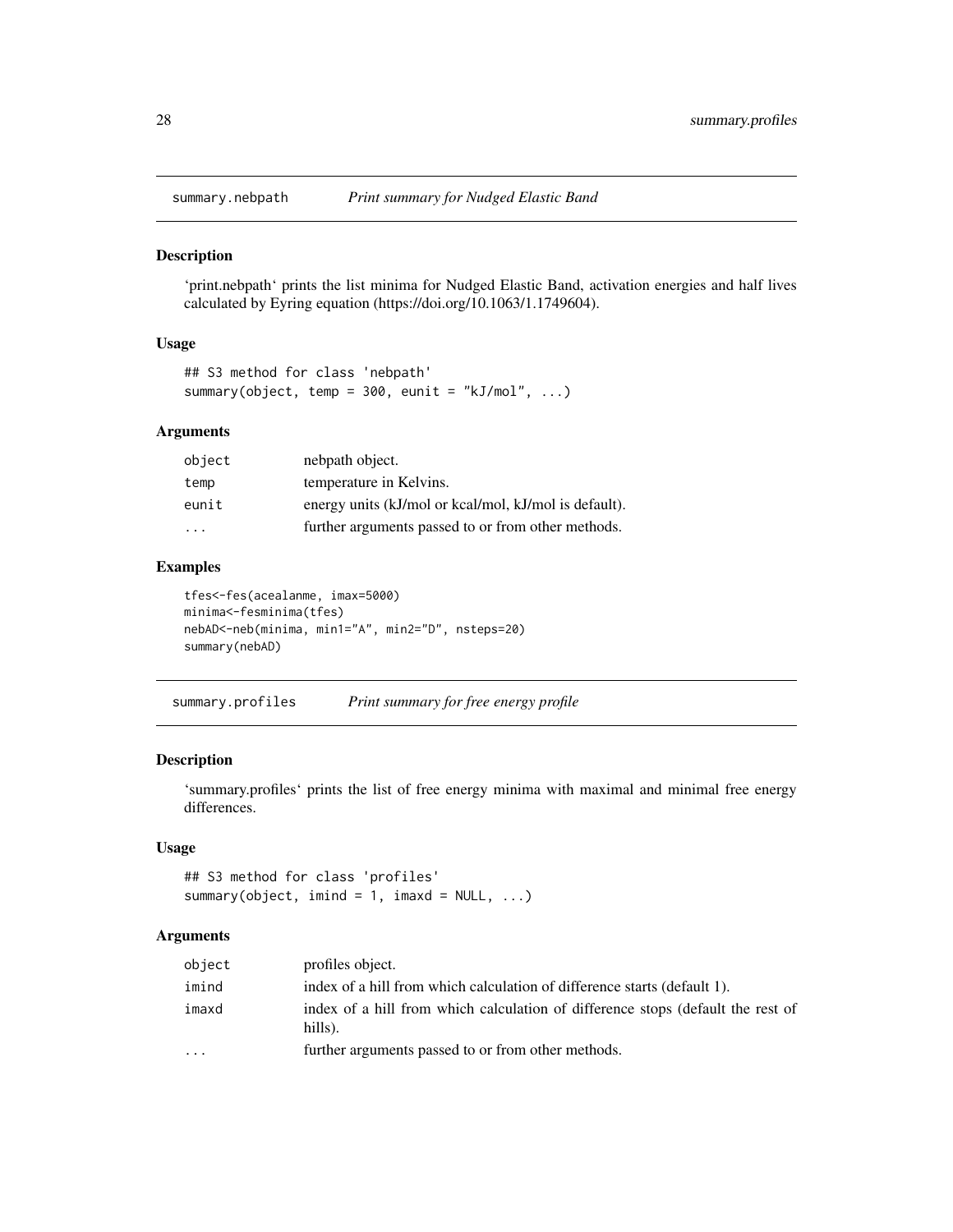<span id="page-27-0"></span>

'print.nebpath' prints the list minima for Nudged Elastic Band, activation energies and half lives calculated by Eyring equation (https://doi.org/10.1063/1.1749604).

#### Usage

```
## S3 method for class 'nebpath'
summary(object, temp = 300, eunit = "kJ/mol", ...)
```
#### Arguments

| object                  | nebpath object.                                       |
|-------------------------|-------------------------------------------------------|
| temp                    | temperature in Kelvins.                               |
| eunit                   | energy units (kJ/mol or kcal/mol, kJ/mol is default). |
| $\cdot$ $\cdot$ $\cdot$ | further arguments passed to or from other methods.    |

#### Examples

```
tfes<-fes(acealanme, imax=5000)
minima<-fesminima(tfes)
nebAD<-neb(minima, min1="A", min2="D", nsteps=20)
summary(nebAD)
```
summary.profiles *Print summary for free energy profile*

#### Description

'summary.profiles' prints the list of free energy minima with maximal and minimal free energy differences.

#### Usage

```
## S3 method for class 'profiles'
summary(object, imind = 1, imaxd = NULL, ...)
```

| object                  | profiles object.                                                                           |
|-------------------------|--------------------------------------------------------------------------------------------|
| imind                   | index of a hill from which calculation of difference starts (default 1).                   |
| imaxd                   | index of a hill from which calculation of difference stops (default the rest of<br>hills). |
| $\cdot$ $\cdot$ $\cdot$ | further arguments passed to or from other methods.                                         |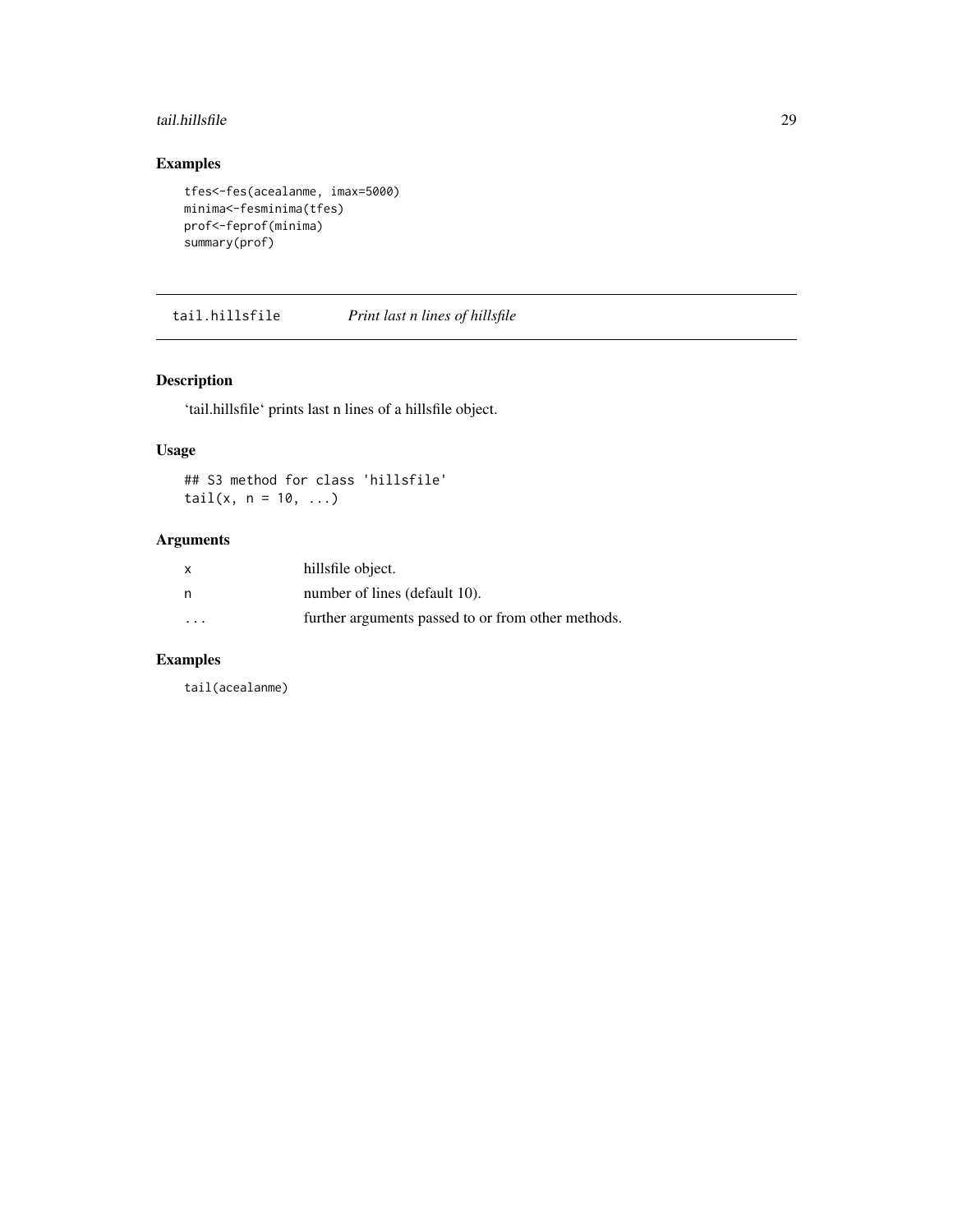#### <span id="page-28-0"></span>tail.hillsfile 29

#### Examples

```
tfes<-fes(acealanme, imax=5000)
minima<-fesminima(tfes)
prof<-feprof(minima)
summary(prof)
```
tail.hillsfile *Print last n lines of hillsfile*

#### Description

'tail.hillsfile' prints last n lines of a hillsfile object.

#### Usage

## S3 method for class 'hillsfile'  $tail(x, n = 10, ...)$ 

#### Arguments

| X                       | hillsfile object.                                  |
|-------------------------|----------------------------------------------------|
| n                       | number of lines (default 10).                      |
| $\cdot$ $\cdot$ $\cdot$ | further arguments passed to or from other methods. |

#### Examples

tail(acealanme)